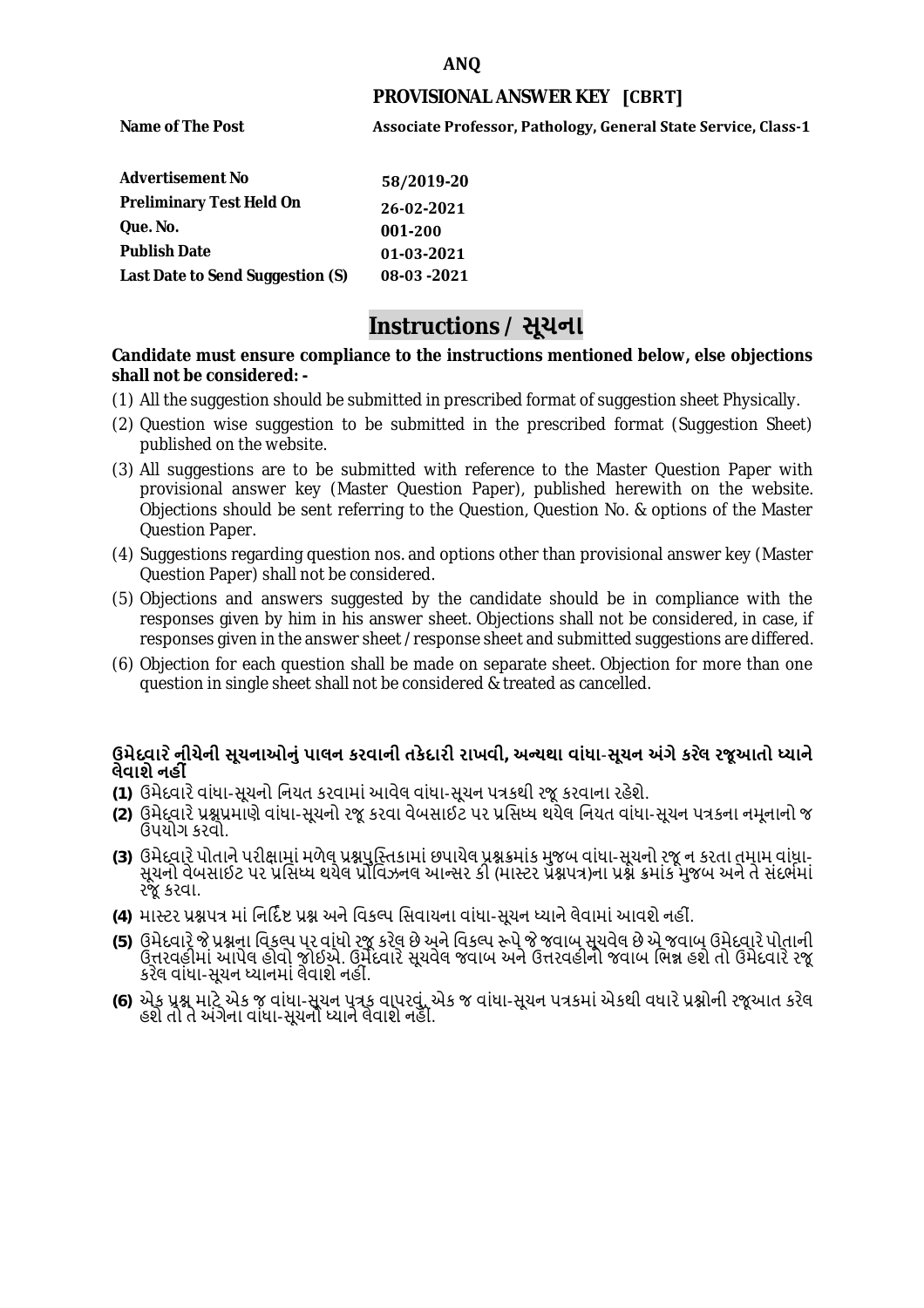## **ANQ**

### **PROVISIONAL ANSWER KEY [CBRT]**

**Name of The Post** 

**Associate Professor, Pathology, General State Service, Class-1**

| <b>Advertisement No</b>          | 58/2019-20  |
|----------------------------------|-------------|
| <b>Preliminary Test Held On</b>  | 26-02-2021  |
| Que. No.                         | 001-200     |
| <b>Publish Date</b>              | 01-03-2021  |
| Last Date to Send Suggestion (S) | 08-03 -2021 |

# **Instructions / સૂચના**

#### **shall not be considered: - Candidate must ensure compliance to the instructions mentioned below, else objections**

- (1) All the suggestion should be submitted in prescribed format of suggestion sheet Physically.
- (2) Question wise suggestion to be submitted in the prescribed format (Suggestion Sheet) published on the website.
- (3) All suggestions are to be submitted with reference to the Master Question Paper with provisional answer key (Master Question Paper), published herewith on the website. Objections should be sent referring to the Question, Question No. & options of the Master Question Paper.
- (4) Suggestions regarding question nos. and options other than provisional answer key (Master Question Paper) shall not be considered.
- (5) Objections and answers suggested by the candidate should be in compliance with the responses given by him in his answer sheet. Objections shall not be considered, in case, if responses given in the answer sheet /response sheet and submitted suggestions are differed.
- (6) Objection for each question shall be made on separate sheet. Objection for more than one question in single sheet shall not be considered & treated as cancelled.

# **ઉમેદવાર ેનીચેની સૂચનાઓનું પાલન કરવાની તકેદારી રાખવી, અլયથા વાંધા-સૂચન અંગેકર ેલ રજૂઆતો իયાને લેવાશેનહી ં**

- **(1)** ઉમેદવારેવાંધા**-**સૂચનો િનયત કરવામાં આવેલ વાંધા-સૂચન પԋકથી રજૂ કરવાના રહેશે**.**
- **(2)** ઉમેદવારેԐՇԐમાણે વાંધા**-**સૂચનો રજૂકરવા વેબસાઈટ પર Ԑિસիધ થયેલ િનયત વાંધા-સૂચન પԋકના નમૂનાનો જ ઉપયોગ કરવો**.**
- **(3)** ઉમેદવારેપોતાનેપરીԟામાંમળેલ ԐՇપુિչતકામાંછપાયેલ ԐՇԃમાંક મુજબ વાંધા**-**સૂચનો રજૂન કરતા તમામ વાંધા**-** સૂચનો વેબસાઈટ પર પ્રસિધ્ધ થયેલ પ્રોવિઝનલ આન્સર કી (માસ્ટર પ્રૅશ્નપત્ર)ના પ્રશ્ને ક્રમાંક મુજબ અને તે સંદર્ભમાં રજૂકરવા**.**
- **(4)** માչટર ԐՇપԋ માંિનિદӪ Ջ ԐՇ અનેિવકճપ િસવાયના વાંધા**-**સૂચન իયાનેલેવામાંઆવશેનહીં**.**
- (5) ઉમેદવારે જે પ્રશ્નના વિકલ્પ પર વાંધો રજૂ કરેલ છે અને વિકલ્પ રૂપે જે જવાબ સૂચવેલ છે એ જવાબ ઉમેદવારે પોતાની ઉԱરવહીમાંઆપેલ હોવો જોઈએ**.** ઉમેદવારેસૂચવેલ જવાબ અનેઉԱરવહીનો જવાબ િભՂ હશેતો ઉમેદવારેરજૂ કરેલ વાંધા**-**સૂચન իયાનમાંલેવાશેનહીં**.**
- **(6)** એક ԐՇ માટેએક જ વાંધા**-**સૂચન પԋક વાપરવું**.** એક જ વાંધા**-**સૂચન પԋકમાંએકથી વધારેԐՇોની રજૂઆત કરેલ હશેતો તેઅંગેના વાંધા**-**સૂચનો իયાનેલેવાશેનહીં**.**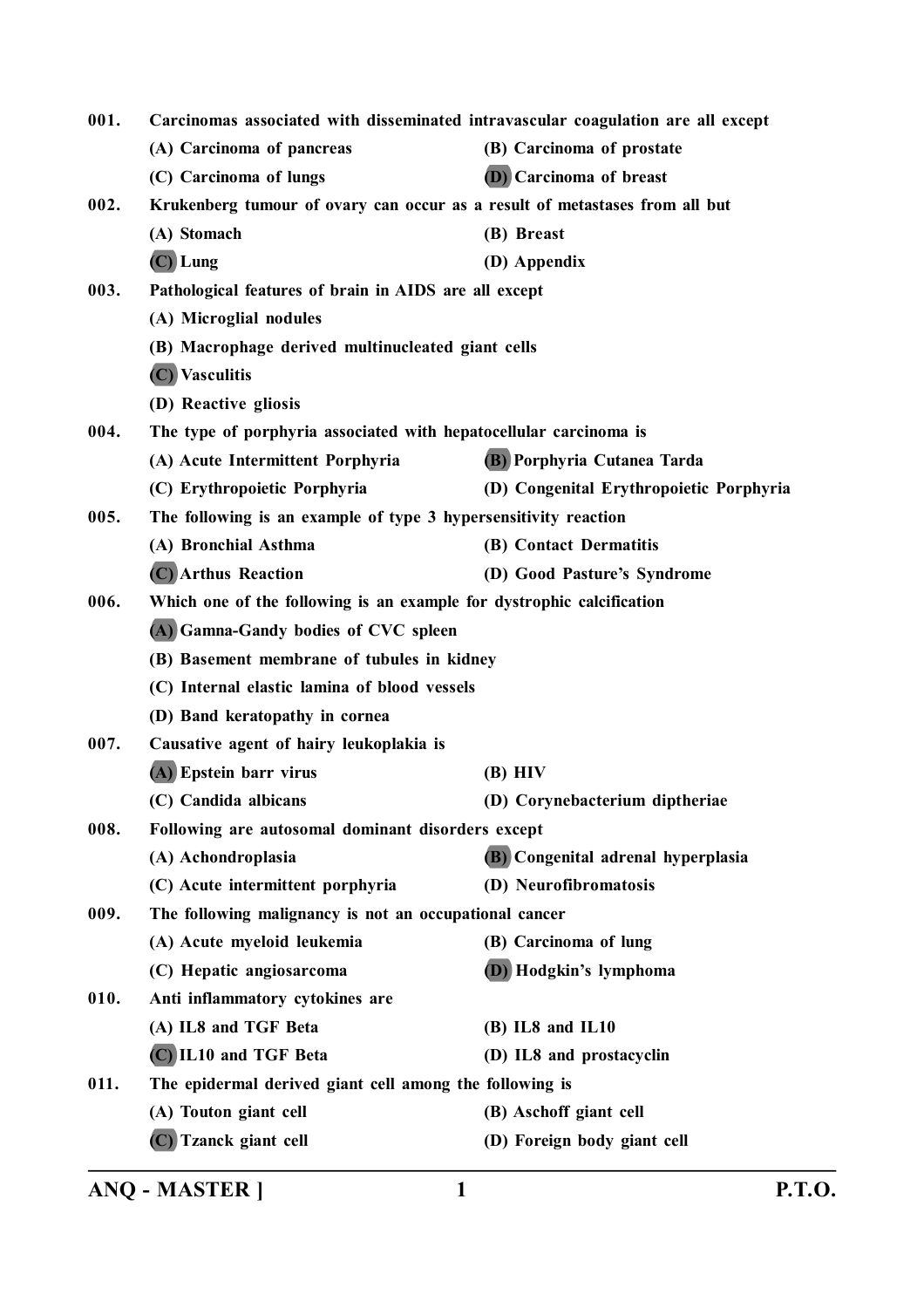| 001. | Carcinomas associated with disseminated intravascular coagulation are all except |                                         |
|------|----------------------------------------------------------------------------------|-----------------------------------------|
|      | (A) Carcinoma of pancreas                                                        | (B) Carcinoma of prostate               |
|      | (C) Carcinoma of lungs                                                           | <b>(D)</b> Carcinoma of breast          |
| 002. | Krukenberg tumour of ovary can occur as a result of metastases from all but      |                                         |
|      | (A) Stomach                                                                      | (B) Breast                              |
|      | $(C)$ Lung                                                                       | (D) Appendix                            |
| 003. | Pathological features of brain in AIDS are all except                            |                                         |
|      | (A) Microglial nodules                                                           |                                         |
|      | (B) Macrophage derived multinucleated giant cells                                |                                         |
|      | (C) Vasculitis                                                                   |                                         |
|      | (D) Reactive gliosis                                                             |                                         |
| 004. | The type of porphyria associated with hepatocellular carcinoma is                |                                         |
|      | (A) Acute Intermittent Porphyria                                                 | (B) Porphyria Cutanea Tarda             |
|      | (C) Erythropoietic Porphyria                                                     | (D) Congenital Erythropoietic Porphyria |
| 005. | The following is an example of type 3 hypersensitivity reaction                  |                                         |
|      | (A) Bronchial Asthma                                                             | (B) Contact Dermatitis                  |
|      | (C) Arthus Reaction                                                              | (D) Good Pasture's Syndrome             |
| 006. | Which one of the following is an example for dystrophic calcification            |                                         |
|      | (A) Gamna-Gandy bodies of CVC spleen                                             |                                         |
|      | (B) Basement membrane of tubules in kidney                                       |                                         |
|      | (C) Internal elastic lamina of blood vessels                                     |                                         |
|      | (D) Band keratopathy in cornea                                                   |                                         |
| 007. | Causative agent of hairy leukoplakia is                                          |                                         |
|      | (A) Epstein barr virus                                                           | $(B)$ HIV                               |
|      | (C) Candida albicans                                                             | (D) Corynebacterium diptheriae          |
| 008. | Following are autosomal dominant disorders except                                |                                         |
|      | (A) Achondroplasia                                                               | (B) Congenital adrenal hyperplasia      |
|      | (C) Acute intermittent porphyria                                                 | (D) Neurofibromatosis                   |
| 009. | The following malignancy is not an occupational cancer                           |                                         |
|      | (A) Acute myeloid leukemia                                                       | (B) Carcinoma of lung                   |
|      | (C) Hepatic angiosarcoma                                                         | (D) Hodgkin's lymphoma                  |
| 010. | Anti inflammatory cytokines are                                                  |                                         |
|      | (A) IL8 and TGF Beta                                                             | $(B)$ IL8 and IL10                      |
|      | (C) IL10 and TGF Beta                                                            | (D) IL8 and prostacyclin                |
| 011. | The epidermal derived giant cell among the following is                          |                                         |
|      | (A) Touton giant cell                                                            | (B) Aschoff giant cell                  |
|      | (C) Tzanck giant cell                                                            | (D) Foreign body giant cell             |
|      |                                                                                  |                                         |

**ANQ - MASTER ] 1 P.T.O.**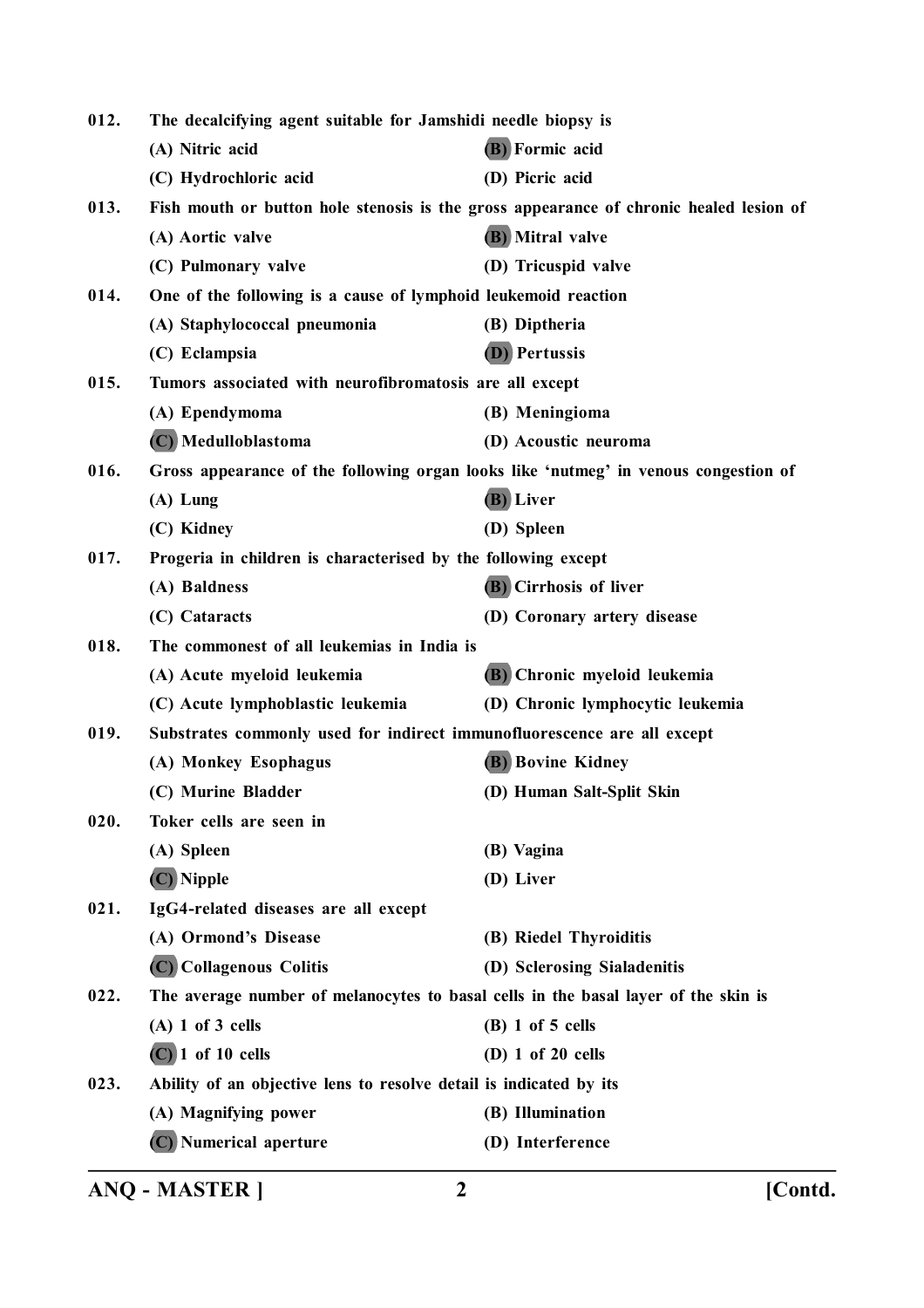| 012. | The decalcifying agent suitable for Jamshidi needle biopsy is                       |                                                                                        |
|------|-------------------------------------------------------------------------------------|----------------------------------------------------------------------------------------|
|      | (A) Nitric acid                                                                     | (B) Formic acid                                                                        |
|      | (C) Hydrochloric acid                                                               | (D) Picric acid                                                                        |
| 013. |                                                                                     | Fish mouth or button hole stenosis is the gross appearance of chronic healed lesion of |
|      | (A) Aortic valve                                                                    | (B) Mitral valve                                                                       |
|      | (C) Pulmonary valve                                                                 | (D) Tricuspid valve                                                                    |
| 014. | One of the following is a cause of lymphoid leukemoid reaction                      |                                                                                        |
|      | (A) Staphylococcal pneumonia                                                        | (B) Diptheria                                                                          |
|      | (C) Eclampsia                                                                       | (D) Pertussis                                                                          |
| 015. | Tumors associated with neurofibromatosis are all except                             |                                                                                        |
|      | (A) Ependymoma                                                                      | (B) Meningioma                                                                         |
|      | (C) Medulloblastoma                                                                 | (D) Acoustic neuroma                                                                   |
| 016. | Gross appearance of the following organ looks like 'nutmeg' in venous congestion of |                                                                                        |
|      | $(A)$ Lung                                                                          | (B) Liver                                                                              |
|      | (C) Kidney                                                                          | (D) Spleen                                                                             |
| 017. | Progeria in children is characterised by the following except                       |                                                                                        |
|      | (A) Baldness                                                                        | (B) Cirrhosis of liver                                                                 |
|      | (C) Cataracts                                                                       | (D) Coronary artery disease                                                            |
| 018. | The commonest of all leukemias in India is                                          |                                                                                        |
|      | (A) Acute myeloid leukemia                                                          | (B) Chronic myeloid leukemia                                                           |
|      | (C) Acute lymphoblastic leukemia                                                    | (D) Chronic lymphocytic leukemia                                                       |
| 019. | Substrates commonly used for indirect immunofluorescence are all except             |                                                                                        |
|      | (A) Monkey Esophagus                                                                | <b>(B)</b> Bovine Kidney                                                               |
|      | (C) Murine Bladder                                                                  | (D) Human Salt-Split Skin                                                              |
| 020. | Toker cells are seen in                                                             |                                                                                        |
|      | (A) Spleen                                                                          | (B) Vagina                                                                             |
|      | (C) Nipple                                                                          | (D) Liver                                                                              |
| 021. | IgG4-related diseases are all except                                                |                                                                                        |
|      | (A) Ormond's Disease                                                                | (B) Riedel Thyroiditis                                                                 |
|      | (C) Collagenous Colitis                                                             | (D) Sclerosing Sialadenitis                                                            |
| 022. | The average number of melanocytes to basal cells in the basal layer of the skin is  |                                                                                        |
|      | $(A)$ 1 of 3 cells                                                                  | $(B)$ 1 of 5 cells                                                                     |
|      | $(C)$ 1 of 10 cells                                                                 | (D) $1$ of $20$ cells                                                                  |
| 023. | Ability of an objective lens to resolve detail is indicated by its                  |                                                                                        |
|      | (A) Magnifying power                                                                | (B) Illumination                                                                       |
|      | (C) Numerical aperture                                                              | (D) Interference                                                                       |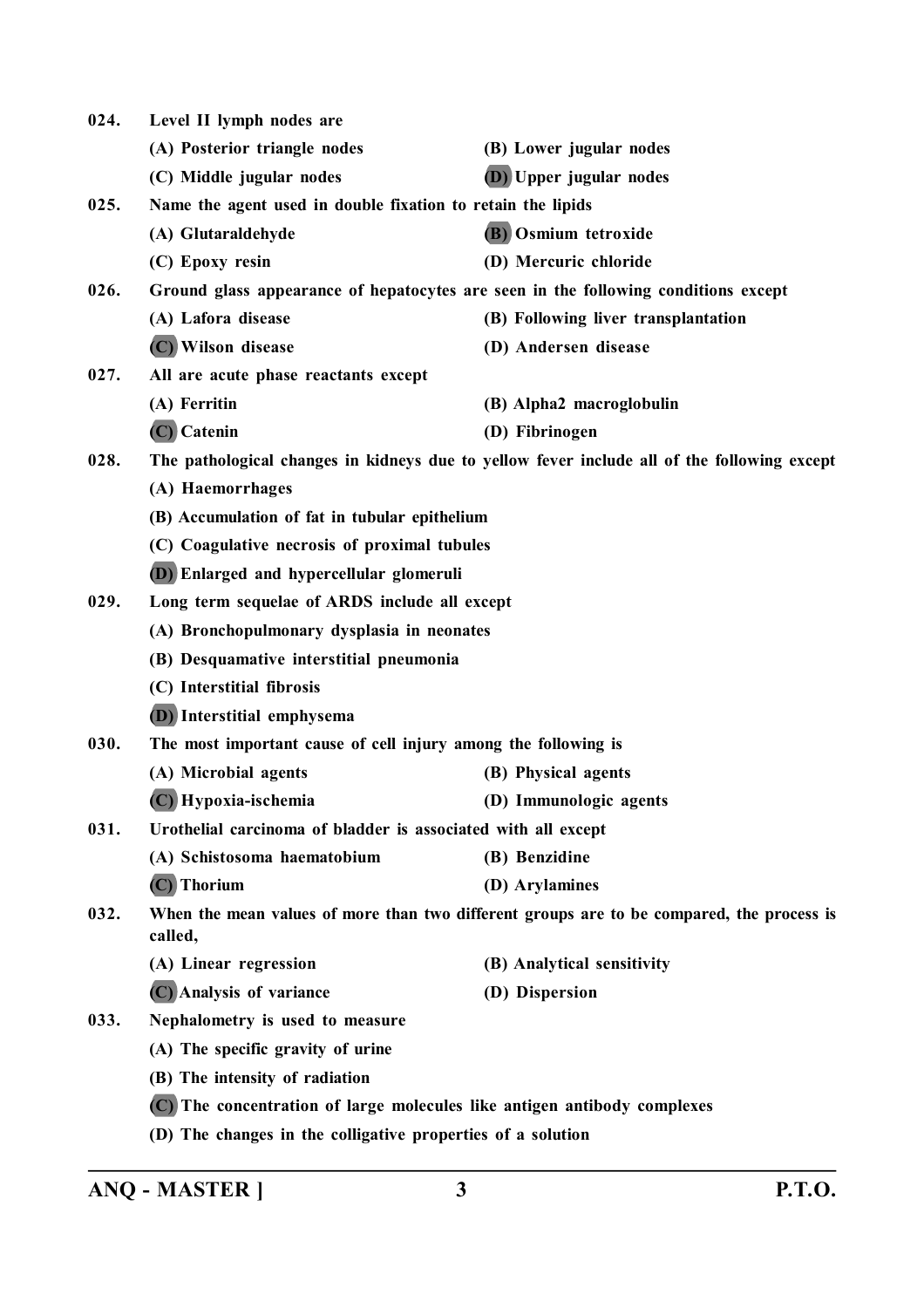| 024. | Level II lymph nodes are                                                 |                                                                                             |
|------|--------------------------------------------------------------------------|---------------------------------------------------------------------------------------------|
|      | (A) Posterior triangle nodes                                             | (B) Lower jugular nodes                                                                     |
|      | (C) Middle jugular nodes                                                 | (D) Upper jugular nodes                                                                     |
| 025. | Name the agent used in double fixation to retain the lipids              |                                                                                             |
|      | (A) Glutaraldehyde                                                       | (B) Osmium tetroxide                                                                        |
|      | (C) Epoxy resin                                                          | (D) Mercuric chloride                                                                       |
| 026. |                                                                          | Ground glass appearance of hepatocytes are seen in the following conditions except          |
|      | (A) Lafora disease                                                       | (B) Following liver transplantation                                                         |
|      | (C) Wilson disease                                                       | (D) Andersen disease                                                                        |
| 027. | All are acute phase reactants except                                     |                                                                                             |
|      | (A) Ferritin                                                             | (B) Alpha2 macroglobulin                                                                    |
|      | (C) Catenin                                                              | (D) Fibrinogen                                                                              |
| 028. |                                                                          | The pathological changes in kidneys due to yellow fever include all of the following except |
|      | (A) Haemorrhages                                                         |                                                                                             |
|      | (B) Accumulation of fat in tubular epithelium                            |                                                                                             |
|      | (C) Coagulative necrosis of proximal tubules                             |                                                                                             |
|      | (D) Enlarged and hypercellular glomeruli                                 |                                                                                             |
| 029. | Long term sequelae of ARDS include all except                            |                                                                                             |
|      | (A) Bronchopulmonary dysplasia in neonates                               |                                                                                             |
|      | (B) Desquamative interstitial pneumonia                                  |                                                                                             |
|      | (C) Interstitial fibrosis                                                |                                                                                             |
|      | (D) Interstitial emphysema                                               |                                                                                             |
| 030. | The most important cause of cell injury among the following is           |                                                                                             |
|      | (A) Microbial agents                                                     | (B) Physical agents                                                                         |
|      | (C) Hypoxia-ischemia                                                     | (D) Immunologic agents                                                                      |
| 031. | Urothelial carcinoma of bladder is associated with all except            |                                                                                             |
|      | (A) Schistosoma haematobium                                              | (B) Benzidine                                                                               |
|      | $(C)$ Thorium                                                            | (D) Arylamines                                                                              |
| 032. | called,                                                                  | When the mean values of more than two different groups are to be compared, the process is   |
|      | (A) Linear regression                                                    | (B) Analytical sensitivity                                                                  |
|      | (C) Analysis of variance                                                 | (D) Dispersion                                                                              |
| 033. | Nephalometry is used to measure                                          |                                                                                             |
|      | (A) The specific gravity of urine                                        |                                                                                             |
|      | (B) The intensity of radiation                                           |                                                                                             |
|      | (C) The concentration of large molecules like antigen antibody complexes |                                                                                             |
|      | (D) The changes in the colligative properties of a solution              |                                                                                             |

**ANQ - MASTER ] 3 P.T.O.**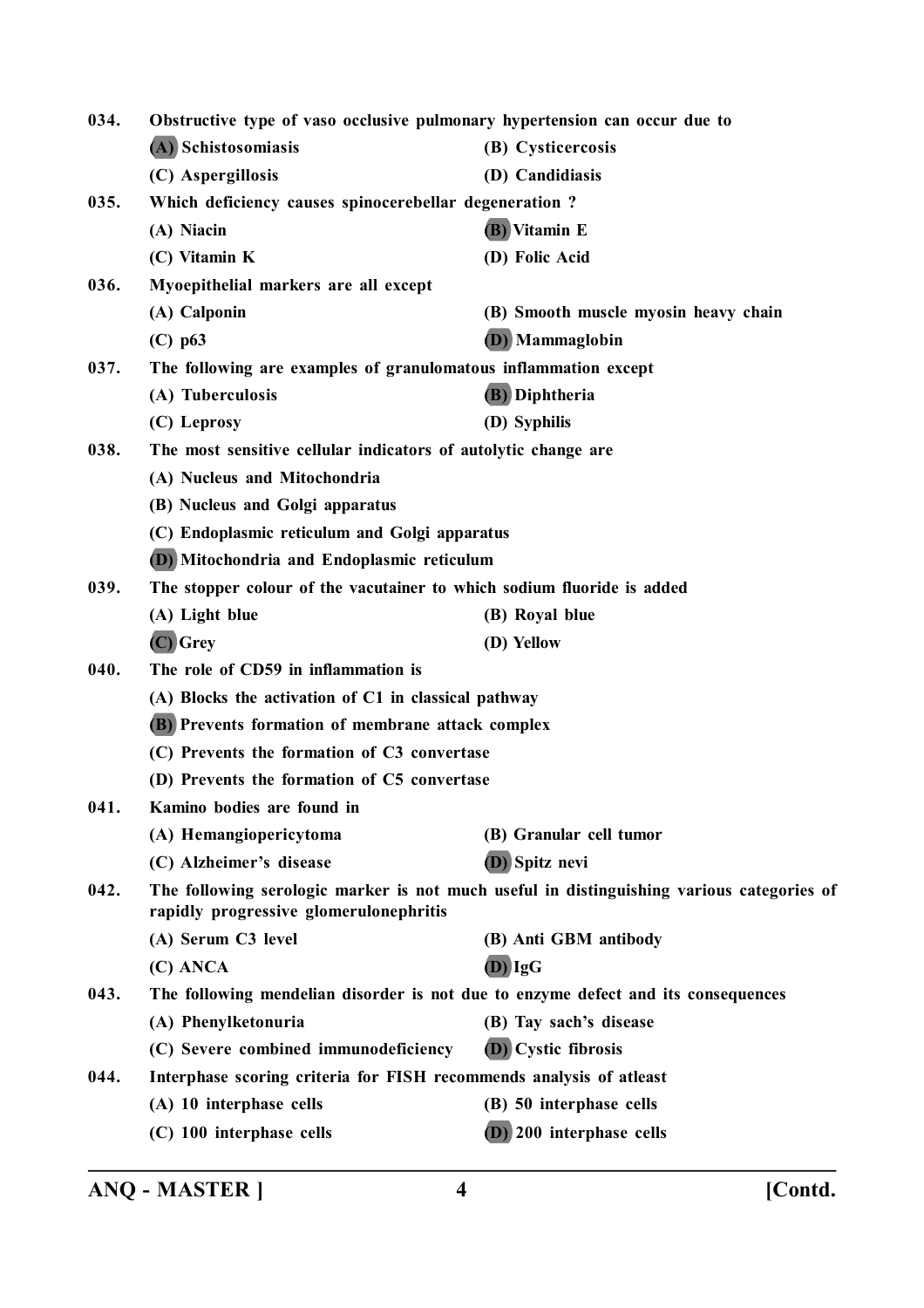**034. Obstructive type of vaso occlusive pulmonary hypertension can occur due to (A) Schistosomiasis (B) Cysticercosis (C) Aspergillosis (D) Candidiasis 035. Which deficiency causes spinocerebellar degeneration ? (A) Niacin (B) Vitamin E (C) Vitamin K (D) Folic Acid 036. Myoepithelial markers are all except (A) Calponin (B) Smooth muscle myosin heavy chain (C) p63 (D) Mammaglobin 037. The following are examples of granulomatous inflammation except (A) Tuberculosis (B) Diphtheria (C) Leprosy (D) Syphilis 038. The most sensitive cellular indicators of autolytic change are (A) Nucleus and Mitochondria (B) Nucleus and Golgi apparatus (C) Endoplasmic reticulum and Golgi apparatus (D) Mitochondria and Endoplasmic reticulum 039. The stopper colour of the vacutainer to which sodium fluoride is added (A) Light blue (B) Royal blue (C) Grey (D) Yellow 040. The role of CD59 in inflammation is (A) Blocks the activation of C1 in classical pathway (B) Prevents formation of membrane attack complex (C) Prevents the formation of C3 convertase (D) Prevents the formation of C5 convertase 041. Kamino bodies are found in (A) Hemangiopericytoma (B) Granular cell tumor (C) Alzheimer's disease (D) Spitz nevi 042. The following serologic marker is not much useful in distinguishing various categories of rapidly progressive glomerulonephritis (A) Serum C3 level (B) Anti GBM antibody (C) ANCA (D) IgG 043. The following mendelian disorder is not due to enzyme defect and its consequences (A) Phenylketonuria (B) Tay sach's disease (C) Severe combined immunodeficiency (D) Cystic fibrosis 044. Interphase scoring criteria for FISH recommends analysis of atleast (A) 10 interphase cells (B) 50 interphase cells (C) 100 interphase cells (D) 200 interphase cells**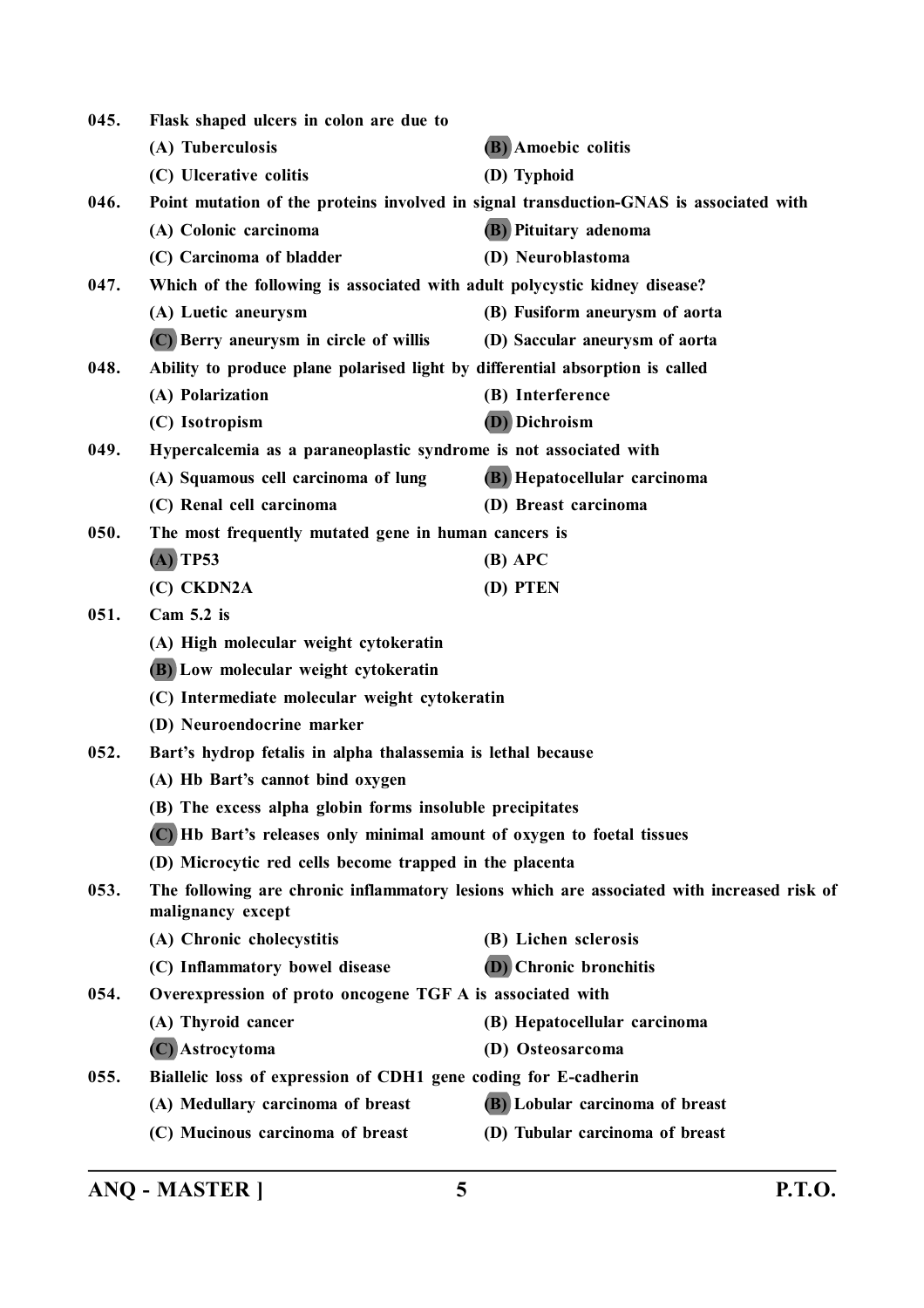| 045. | Flask shaped ulcers in colon are due to                                       |                                                                                            |
|------|-------------------------------------------------------------------------------|--------------------------------------------------------------------------------------------|
|      | (A) Tuberculosis                                                              | (B) Amoebic colitis                                                                        |
|      | (C) Ulcerative colitis                                                        | (D) Typhoid                                                                                |
| 046. |                                                                               | Point mutation of the proteins involved in signal transduction-GNAS is associated with     |
|      | (A) Colonic carcinoma                                                         | (B) Pituitary adenoma                                                                      |
|      | (C) Carcinoma of bladder                                                      | (D) Neuroblastoma                                                                          |
| 047. | Which of the following is associated with adult polycystic kidney disease?    |                                                                                            |
|      | (A) Luetic aneurysm                                                           | (B) Fusiform aneurysm of aorta                                                             |
|      | (C) Berry aneurysm in circle of willis                                        | (D) Saccular aneurysm of aorta                                                             |
| 048. | Ability to produce plane polarised light by differential absorption is called |                                                                                            |
|      | (A) Polarization                                                              | (B) Interference                                                                           |
|      | (C) Isotropism                                                                | (D) Dichroism                                                                              |
| 049. | Hypercalcemia as a paraneoplastic syndrome is not associated with             |                                                                                            |
|      | (A) Squamous cell carcinoma of lung                                           | (B) Hepatocellular carcinoma                                                               |
|      | (C) Renal cell carcinoma                                                      | (D) Breast carcinoma                                                                       |
| 050. | The most frequently mutated gene in human cancers is                          |                                                                                            |
|      | $(A)$ TP53                                                                    | $(B)$ APC                                                                                  |
|      | (C) CKDN2A                                                                    | (D) PTEN                                                                                   |
| 051. | Cam $5.2$ is                                                                  |                                                                                            |
|      | (A) High molecular weight cytokeratin                                         |                                                                                            |
|      | (B) Low molecular weight cytokeratin                                          |                                                                                            |
|      | (C) Intermediate molecular weight cytokeratin                                 |                                                                                            |
|      | (D) Neuroendocrine marker                                                     |                                                                                            |
| 052. | Bart's hydrop fetalis in alpha thalassemia is lethal because                  |                                                                                            |
|      | (A) Hb Bart's cannot bind oxygen                                              |                                                                                            |
|      | (B) The excess alpha globin forms insoluble precipitates                      |                                                                                            |
|      | (C) Hb Bart's releases only minimal amount of oxygen to foetal tissues        |                                                                                            |
|      | (D) Microcytic red cells become trapped in the placenta                       |                                                                                            |
| 053. | malignancy except                                                             | The following are chronic inflammatory lesions which are associated with increased risk of |
|      | (A) Chronic cholecystitis                                                     | (B) Lichen sclerosis                                                                       |
|      | (C) Inflammatory bowel disease                                                | <b>(D)</b> Chronic bronchitis                                                              |
| 054. | Overexpression of proto oncogene TGF A is associated with                     |                                                                                            |
|      | (A) Thyroid cancer                                                            | (B) Hepatocellular carcinoma                                                               |
|      | (C) Astrocytoma                                                               | (D) Osteosarcoma                                                                           |
| 055. | Biallelic loss of expression of CDH1 gene coding for E-cadherin               |                                                                                            |
|      | (A) Medullary carcinoma of breast                                             | (B) Lobular carcinoma of breast                                                            |
|      | (C) Mucinous carcinoma of breast                                              | (D) Tubular carcinoma of breast                                                            |
|      |                                                                               |                                                                                            |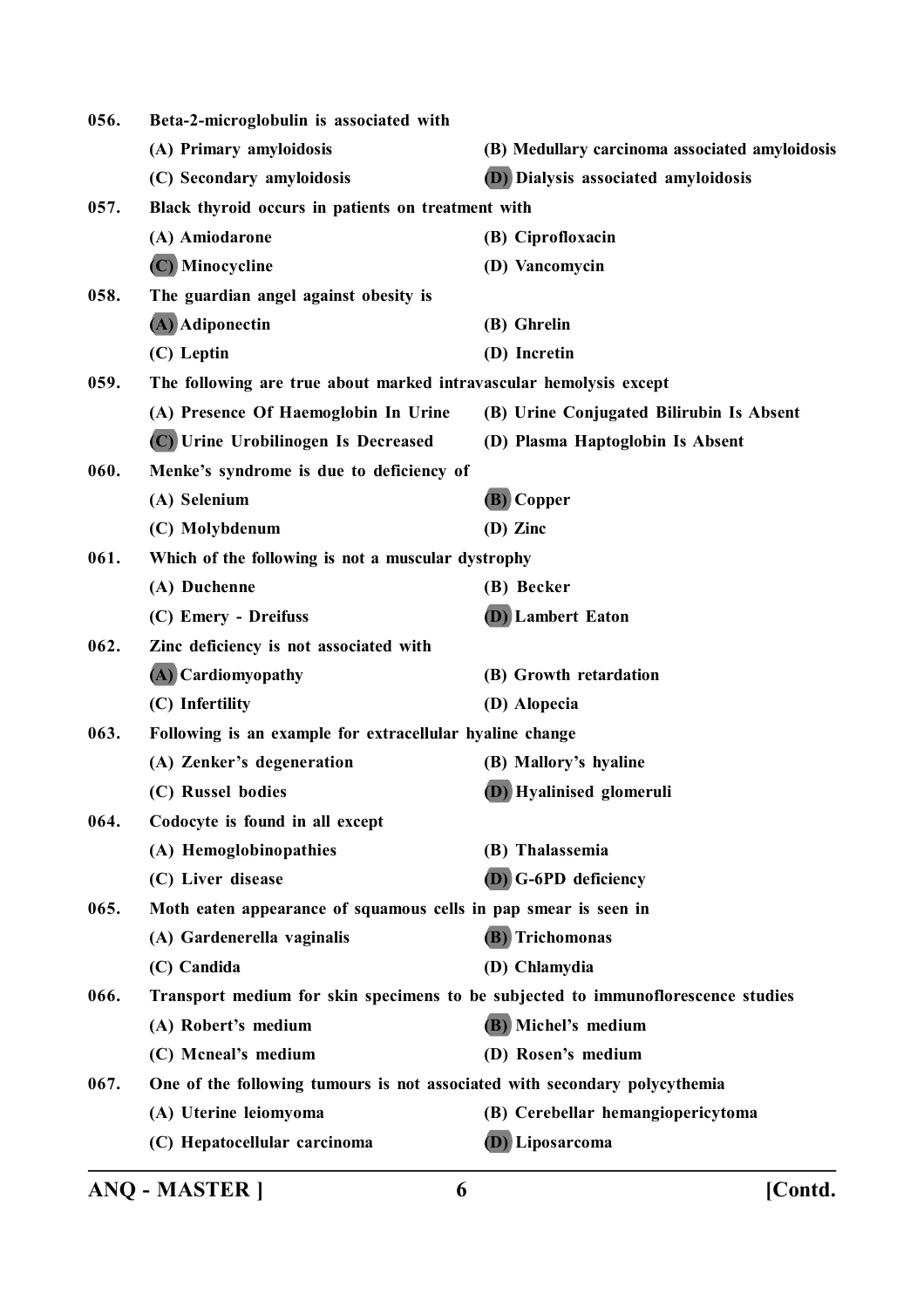| 056. | Beta-2-microglobulin is associated with                                    |                                                                                  |
|------|----------------------------------------------------------------------------|----------------------------------------------------------------------------------|
|      | (A) Primary amyloidosis                                                    | (B) Medullary carcinoma associated amyloidosis                                   |
|      | (C) Secondary amyloidosis                                                  | (D) Dialysis associated amyloidosis                                              |
| 057. | Black thyroid occurs in patients on treatment with                         |                                                                                  |
|      | (A) Amiodarone                                                             | (B) Ciprofloxacin                                                                |
|      | (C) Minocycline                                                            | (D) Vancomycin                                                                   |
| 058. | The guardian angel against obesity is                                      |                                                                                  |
|      | (A) Adiponectin                                                            | (B) Ghrelin                                                                      |
|      | (C) Leptin                                                                 | (D) Incretin                                                                     |
| 059. | The following are true about marked intravascular hemolysis except         |                                                                                  |
|      | (A) Presence Of Haemoglobin In Urine                                       | (B) Urine Conjugated Bilirubin Is Absent                                         |
|      | (C) Urine Urobilinogen Is Decreased                                        | (D) Plasma Haptoglobin Is Absent                                                 |
| 060. | Menke's syndrome is due to deficiency of                                   |                                                                                  |
|      | (A) Selenium                                                               | (B) Copper                                                                       |
|      | (C) Molybdenum                                                             | (D) Zinc                                                                         |
| 061. | Which of the following is not a muscular dystrophy                         |                                                                                  |
|      | (A) Duchenne                                                               | (B) Becker                                                                       |
|      | (C) Emery - Dreifuss                                                       | <b>(D)</b> Lambert Eaton                                                         |
| 062. | Zinc deficiency is not associated with                                     |                                                                                  |
|      | (A) Cardiomyopathy                                                         | (B) Growth retardation                                                           |
|      | (C) Infertility                                                            | (D) Alopecia                                                                     |
| 063. | Following is an example for extracellular hyaline change                   |                                                                                  |
|      | (A) Zenker's degeneration                                                  | (B) Mallory's hyaline                                                            |
|      | (C) Russel bodies                                                          | (D) Hyalinised glomeruli                                                         |
| 064. | Codocyte is found in all except                                            |                                                                                  |
|      | (A) Hemoglobinopathies                                                     | (B) Thalassemia                                                                  |
|      | (C) Liver disease                                                          | (D) G-6PD deficiency                                                             |
| 065. | Moth eaten appearance of squamous cells in pap smear is seen in            |                                                                                  |
|      | (A) Gardenerella vaginalis                                                 | (B) Trichomonas                                                                  |
|      | (C) Candida                                                                | (D) Chlamydia                                                                    |
| 066. |                                                                            | Transport medium for skin specimens to be subjected to immunoflorescence studies |
|      | (A) Robert's medium                                                        | (B) Michel's medium                                                              |
|      | (C) Mcneal's medium                                                        | (D) Rosen's medium                                                               |
| 067. | One of the following tumours is not associated with secondary polycythemia |                                                                                  |
|      | (A) Uterine leiomyoma                                                      | (B) Cerebellar hemangiopericytoma                                                |
|      | (C) Hepatocellular carcinoma                                               | <b>(D)</b> Liposarcoma                                                           |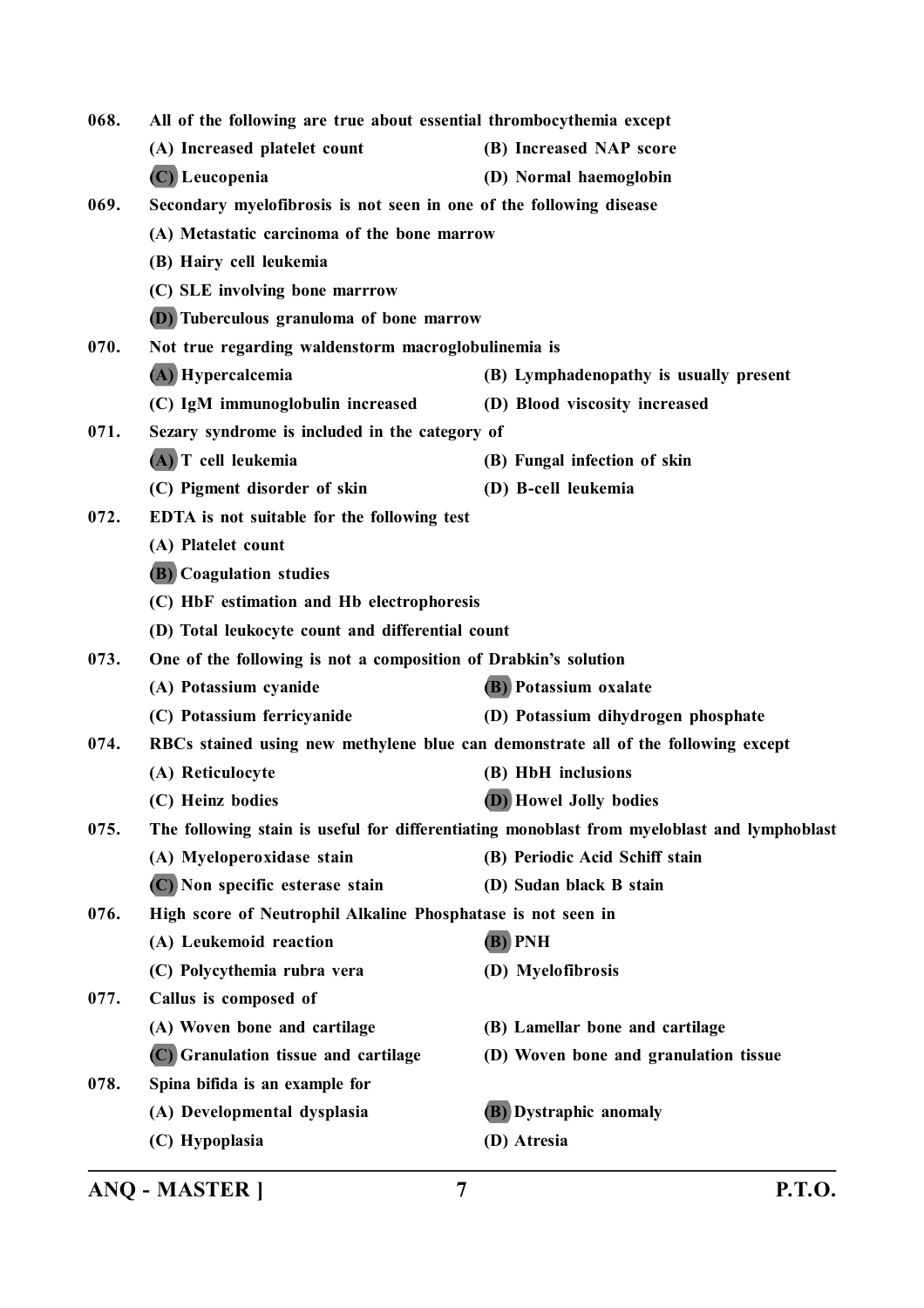| 068. | All of the following are true about essential thrombocythemia except              |                                                                                             |
|------|-----------------------------------------------------------------------------------|---------------------------------------------------------------------------------------------|
|      | (A) Increased platelet count                                                      | (B) Increased NAP score                                                                     |
|      | $(C)$ Leucopenia                                                                  | (D) Normal haemoglobin                                                                      |
| 069. | Secondary myelofibrosis is not seen in one of the following disease               |                                                                                             |
|      | (A) Metastatic carcinoma of the bone marrow                                       |                                                                                             |
|      | (B) Hairy cell leukemia                                                           |                                                                                             |
|      | (C) SLE involving bone marrrow                                                    |                                                                                             |
|      | (D) Tuberculous granuloma of bone marrow                                          |                                                                                             |
| 070. | Not true regarding waldenstorm macroglobulinemia is                               |                                                                                             |
|      | (A) Hypercalcemia                                                                 | (B) Lymphadenopathy is usually present                                                      |
|      | (C) IgM immunoglobulin increased                                                  | (D) Blood viscosity increased                                                               |
| 071. | Sezary syndrome is included in the category of                                    |                                                                                             |
|      | (A) T cell leukemia                                                               | (B) Fungal infection of skin                                                                |
|      | (C) Pigment disorder of skin                                                      | (D) B-cell leukemia                                                                         |
| 072. | EDTA is not suitable for the following test                                       |                                                                                             |
|      | (A) Platelet count                                                                |                                                                                             |
|      | (B) Coagulation studies                                                           |                                                                                             |
|      | (C) HbF estimation and Hb electrophoresis                                         |                                                                                             |
|      | (D) Total leukocyte count and differential count                                  |                                                                                             |
| 073. | One of the following is not a composition of Drabkin's solution                   |                                                                                             |
|      | (A) Potassium cyanide                                                             | (B) Potassium oxalate                                                                       |
|      | (C) Potassium ferricyanide                                                        | (D) Potassium dihydrogen phosphate                                                          |
| 074. | RBCs stained using new methylene blue can demonstrate all of the following except |                                                                                             |
|      | (A) Reticulocyte                                                                  | (B) HbH inclusions                                                                          |
|      | (C) Heinz bodies                                                                  | (D) Howel Jolly bodies                                                                      |
| 075. |                                                                                   | The following stain is useful for differentiating monoblast from myeloblast and lymphoblast |
|      | (A) Myeloperoxidase stain                                                         | (B) Periodic Acid Schiff stain                                                              |
|      | (C) Non specific esterase stain                                                   | (D) Sudan black B stain                                                                     |
| 076. | High score of Neutrophil Alkaline Phosphatase is not seen in                      |                                                                                             |
|      | (A) Leukemoid reaction                                                            | (B) PNH                                                                                     |
|      | (C) Polycythemia rubra vera                                                       | (D) Myelofibrosis                                                                           |
| 077. | Callus is composed of                                                             |                                                                                             |
|      | (A) Woven bone and cartilage                                                      | (B) Lamellar bone and cartilage                                                             |
|      | (C) Granulation tissue and cartilage                                              | (D) Woven bone and granulation tissue                                                       |
| 078. | Spina bifida is an example for                                                    |                                                                                             |
|      | (A) Developmental dysplasia                                                       | (B) Dystraphic anomaly                                                                      |
|      | (C) Hypoplasia                                                                    | (D) Atresia                                                                                 |
|      |                                                                                   |                                                                                             |

**ANQ - MASTER ] 7 P.T.O.**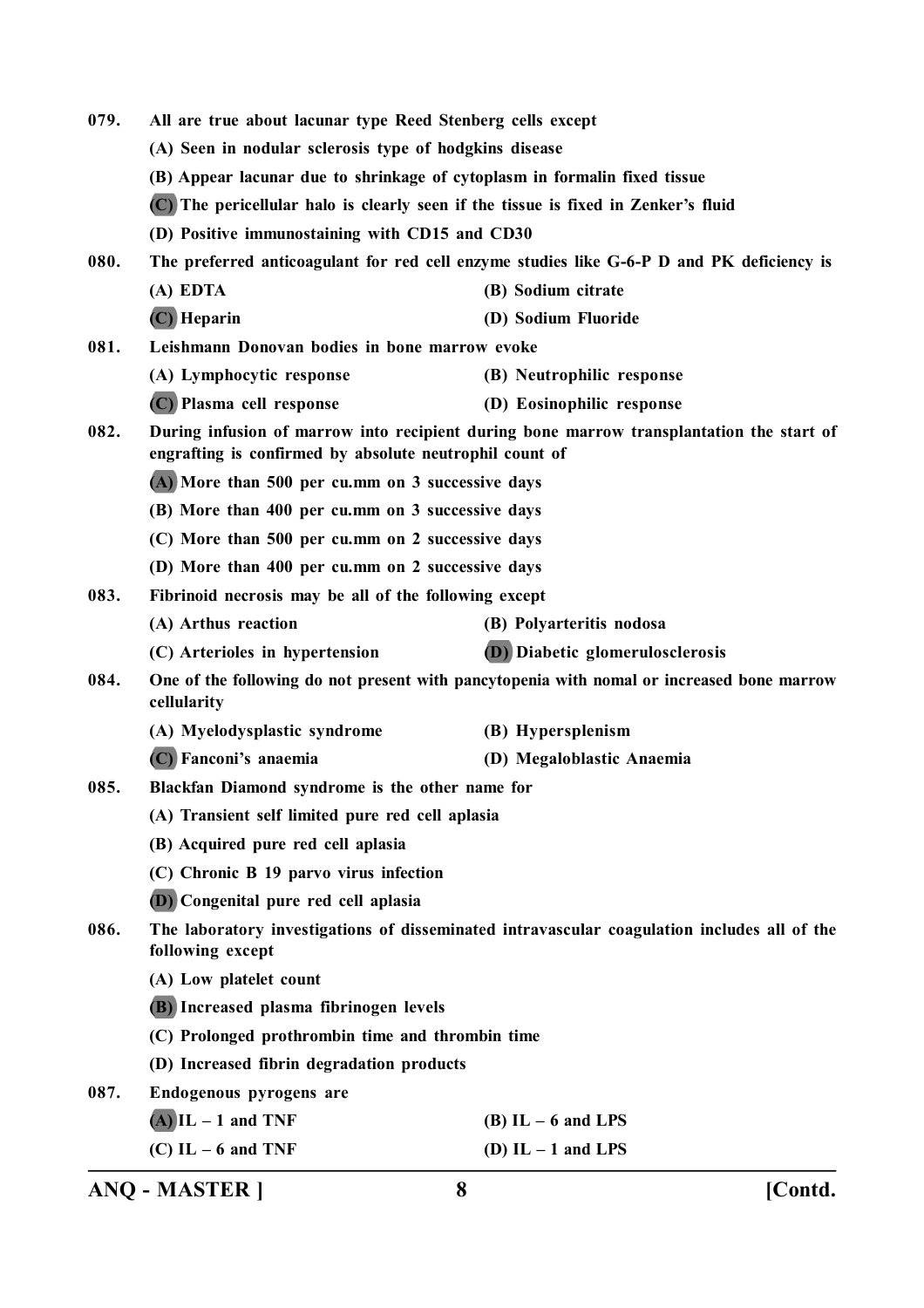| 079. | All are true about lacunar type Reed Stenberg cells except                         |                                                                                             |
|------|------------------------------------------------------------------------------------|---------------------------------------------------------------------------------------------|
|      | (A) Seen in nodular sclerosis type of hodgkins disease                             |                                                                                             |
|      | (B) Appear lacunar due to shrinkage of cytoplasm in formalin fixed tissue          |                                                                                             |
|      | (C) The pericellular halo is clearly seen if the tissue is fixed in Zenker's fluid |                                                                                             |
|      | (D) Positive immunostaining with CD15 and CD30                                     |                                                                                             |
| 080. |                                                                                    | The preferred anticoagulant for red cell enzyme studies like G-6-P D and PK deficiency is   |
|      | (A) EDTA                                                                           | (B) Sodium citrate                                                                          |
|      | (C) Heparin                                                                        | (D) Sodium Fluoride                                                                         |
| 081. | Leishmann Donovan bodies in bone marrow evoke                                      |                                                                                             |
|      | (A) Lymphocytic response                                                           | (B) Neutrophilic response                                                                   |
|      | (C) Plasma cell response                                                           | (D) Eosinophilic response                                                                   |
| 082. | engrafting is confirmed by absolute neutrophil count of                            | During infusion of marrow into recipient during bone marrow transplantation the start of    |
|      | (A) More than 500 per cu.mm on 3 successive days                                   |                                                                                             |
|      | (B) More than 400 per cu.mm on 3 successive days                                   |                                                                                             |
|      | (C) More than 500 per cu.mm on 2 successive days                                   |                                                                                             |
|      | (D) More than 400 per cu.mm on 2 successive days                                   |                                                                                             |
| 083. | Fibrinoid necrosis may be all of the following except                              |                                                                                             |
|      | (A) Arthus reaction                                                                | (B) Polyarteritis nodosa                                                                    |
|      | (C) Arterioles in hypertension                                                     | (D) Diabetic glomerulosclerosis                                                             |
| 084. | cellularity                                                                        | One of the following do not present with pancytopenia with nomal or increased bone marrow   |
|      | (A) Myelodysplastic syndrome                                                       | (B) Hypersplenism                                                                           |
|      | (C) Fanconi's anaemia                                                              | (D) Megaloblastic Anaemia                                                                   |
| 085. | Blackfan Diamond syndrome is the other name for                                    |                                                                                             |
|      | (A) Transient self limited pure red cell aplasia                                   |                                                                                             |
|      | (B) Acquired pure red cell aplasia                                                 |                                                                                             |
|      | (C) Chronic B 19 parvo virus infection                                             |                                                                                             |
|      | (D) Congenital pure red cell aplasia                                               |                                                                                             |
| 086. | following except                                                                   | The laboratory investigations of disseminated intravascular coagulation includes all of the |
|      | (A) Low platelet count                                                             |                                                                                             |
|      | (B) Increased plasma fibrinogen levels                                             |                                                                                             |
|      | (C) Prolonged prothrombin time and thrombin time                                   |                                                                                             |
|      | (D) Increased fibrin degradation products                                          |                                                                                             |
| 087. | Endogenous pyrogens are                                                            |                                                                                             |
|      | $(A)$ IL – 1 and TNF                                                               | $(B)$ IL $-6$ and LPS                                                                       |
|      | $(C)$ IL – 6 and TNF                                                               | (D) $IL - 1$ and $LPS$                                                                      |
|      |                                                                                    |                                                                                             |

**ANQ - MASTER ] 8 [Contd.**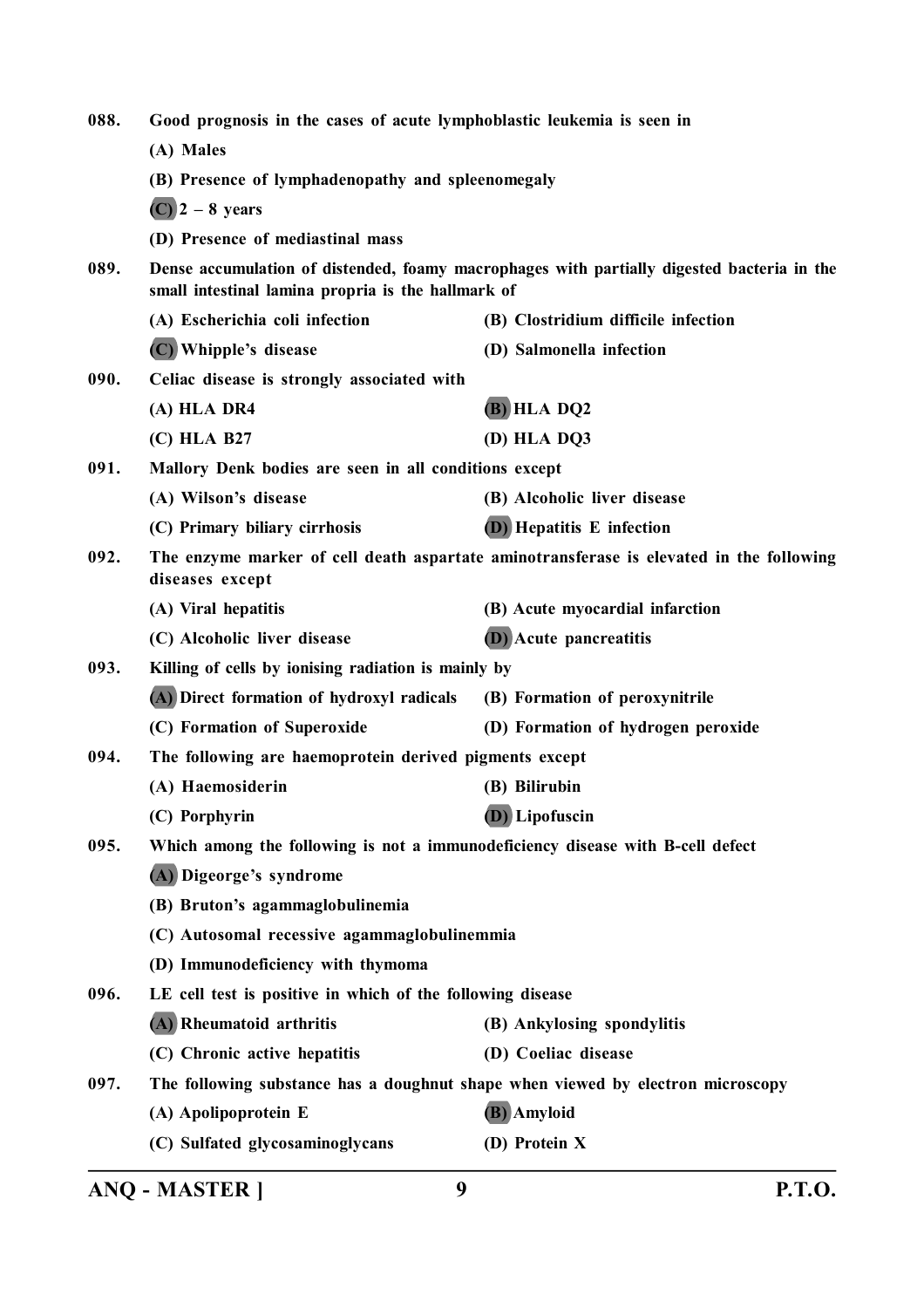| 088. | Good prognosis in the cases of acute lymphoblastic leukemia is seen in                                                                           |                                                                                         |
|------|--------------------------------------------------------------------------------------------------------------------------------------------------|-----------------------------------------------------------------------------------------|
|      | (A) Males                                                                                                                                        |                                                                                         |
|      | (B) Presence of lymphadenopathy and spleenomegaly                                                                                                |                                                                                         |
|      | $(C)$ 2 – 8 years                                                                                                                                |                                                                                         |
|      | (D) Presence of mediastinal mass                                                                                                                 |                                                                                         |
| 089. | Dense accumulation of distended, foamy macrophages with partially digested bacteria in the<br>small intestinal lamina propria is the hallmark of |                                                                                         |
|      | (A) Escherichia coli infection                                                                                                                   | (B) Clostridium difficile infection                                                     |
|      | (C) Whipple's disease                                                                                                                            | (D) Salmonella infection                                                                |
| 090. | Celiac disease is strongly associated with                                                                                                       |                                                                                         |
|      | (A) HLA DR4                                                                                                                                      | (B) HLA DQ2                                                                             |
|      | (C) HLA B27                                                                                                                                      | (D) HLA DQ3                                                                             |
| 091. | Mallory Denk bodies are seen in all conditions except                                                                                            |                                                                                         |
|      | (A) Wilson's disease                                                                                                                             | (B) Alcoholic liver disease                                                             |
|      | (C) Primary biliary cirrhosis                                                                                                                    | <b>(D)</b> Hepatitis E infection                                                        |
| 092. | diseases except                                                                                                                                  | The enzyme marker of cell death aspartate aminotransferase is elevated in the following |
|      | (A) Viral hepatitis                                                                                                                              | (B) Acute myocardial infarction                                                         |
|      | (C) Alcoholic liver disease                                                                                                                      | <b>(D)</b> Acute pancreatitis                                                           |
| 093. | Killing of cells by ionising radiation is mainly by                                                                                              |                                                                                         |
|      | (A) Direct formation of hydroxyl radicals                                                                                                        | (B) Formation of peroxynitrile                                                          |
|      | (C) Formation of Superoxide                                                                                                                      | (D) Formation of hydrogen peroxide                                                      |
| 094. | The following are haemoprotein derived pigments except                                                                                           |                                                                                         |
|      | (A) Haemosiderin                                                                                                                                 | (B) Bilirubin                                                                           |
|      | (C) Porphyrin                                                                                                                                    | (D) Lipofuscin                                                                          |
| 095. | Which among the following is not a immunodeficiency disease with B-cell defect                                                                   |                                                                                         |
|      | (A) Digeorge's syndrome                                                                                                                          |                                                                                         |
|      | (B) Bruton's agammaglobulinemia                                                                                                                  |                                                                                         |
|      | (C) Autosomal recessive agammaglobulinemmia                                                                                                      |                                                                                         |
|      | (D) Immunodeficiency with thymoma                                                                                                                |                                                                                         |
| 096. | LE cell test is positive in which of the following disease                                                                                       |                                                                                         |
|      | (A) Rheumatoid arthritis                                                                                                                         | (B) Ankylosing spondylitis                                                              |
|      | (C) Chronic active hepatitis                                                                                                                     | (D) Coeliac disease                                                                     |
| 097. | The following substance has a doughnut shape when viewed by electron microscopy                                                                  |                                                                                         |
|      | (A) Apolipoprotein E                                                                                                                             | (B) Amyloid                                                                             |
|      | (C) Sulfated glycosaminoglycans                                                                                                                  | (D) Protein X                                                                           |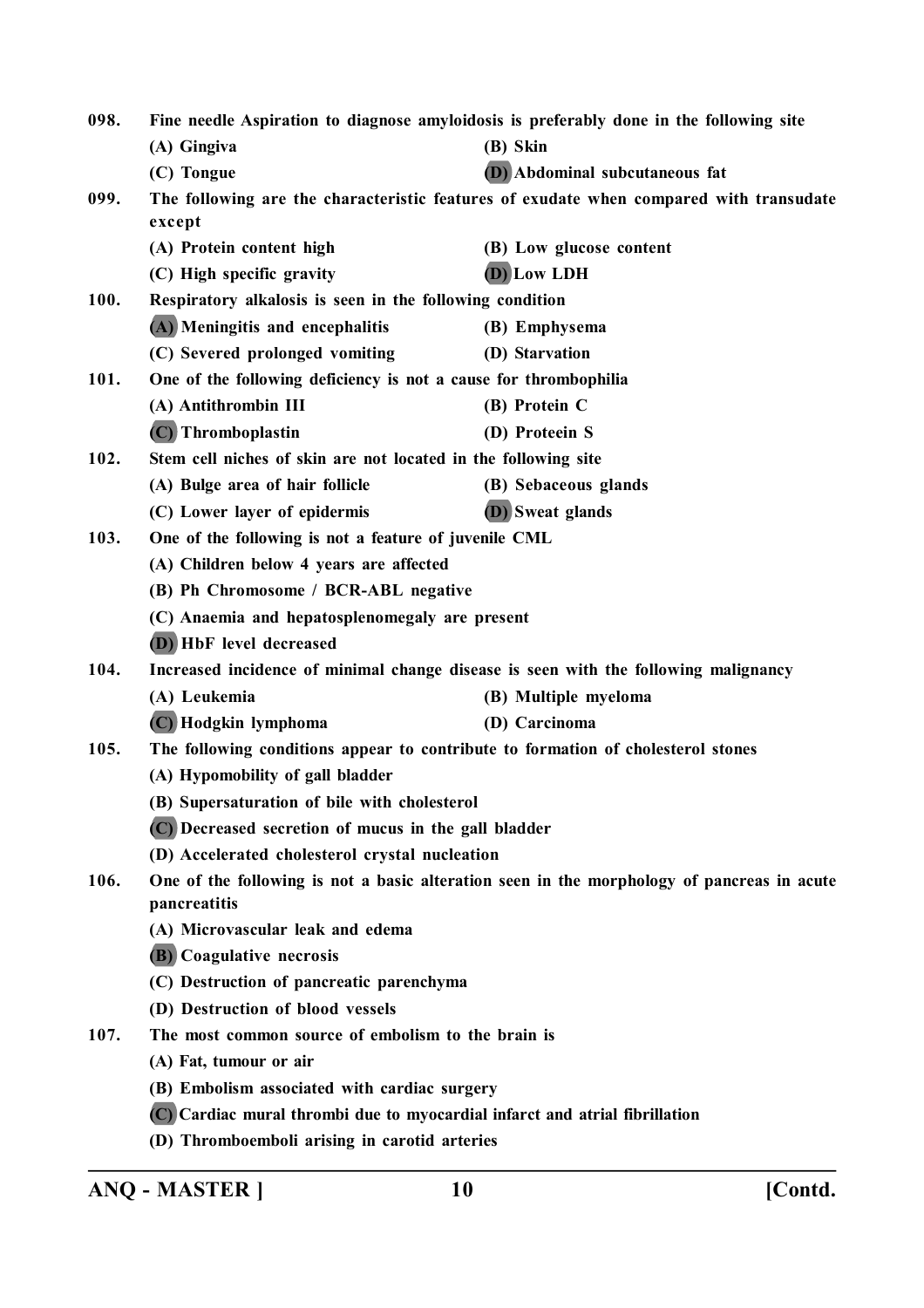| 098. | Fine needle Aspiration to diagnose amyloidosis is preferably done in the following site                    |                                                                                        |
|------|------------------------------------------------------------------------------------------------------------|----------------------------------------------------------------------------------------|
|      | (A) Gingiva                                                                                                | (B) Skin                                                                               |
|      | (C) Tongue                                                                                                 | (D) Abdominal subcutaneous fat                                                         |
| 099. | except                                                                                                     | The following are the characteristic features of exudate when compared with transudate |
|      | (A) Protein content high                                                                                   | (B) Low glucose content                                                                |
|      | (C) High specific gravity                                                                                  | (D) Low LDH                                                                            |
| 100. | Respiratory alkalosis is seen in the following condition                                                   |                                                                                        |
|      | (A) Meningitis and encephalitis                                                                            | (B) Emphysema                                                                          |
|      | (C) Severed prolonged vomiting                                                                             | (D) Starvation                                                                         |
| 101. | One of the following deficiency is not a cause for thrombophilia                                           |                                                                                        |
|      | (A) Antithrombin III                                                                                       | (B) Protein C                                                                          |
|      | (C) Thromboplastin                                                                                         | (D) Proteein S                                                                         |
| 102. | Stem cell niches of skin are not located in the following site                                             |                                                                                        |
|      | (A) Bulge area of hair follicle                                                                            | (B) Sebaceous glands                                                                   |
|      | (C) Lower layer of epidermis                                                                               | <b>(D)</b> Sweat glands                                                                |
| 103. | One of the following is not a feature of juvenile CML                                                      |                                                                                        |
|      | (A) Children below 4 years are affected                                                                    |                                                                                        |
|      | (B) Ph Chromosome / BCR-ABL negative                                                                       |                                                                                        |
|      | (C) Anaemia and hepatosplenomegaly are present                                                             |                                                                                        |
|      | (D) HbF level decreased                                                                                    |                                                                                        |
| 104. | Increased incidence of minimal change disease is seen with the following malignancy                        |                                                                                        |
|      | (A) Leukemia                                                                                               | (B) Multiple myeloma                                                                   |
|      | (C) Hodgkin lymphoma                                                                                       | (D) Carcinoma                                                                          |
| 105. | The following conditions appear to contribute to formation of cholesterol stones                           |                                                                                        |
|      | (A) Hypomobility of gall bladder                                                                           |                                                                                        |
|      | (B) Supersaturation of bile with cholesterol                                                               |                                                                                        |
|      | (C) Decreased secretion of mucus in the gall bladder                                                       |                                                                                        |
|      | (D) Accelerated cholesterol crystal nucleation                                                             |                                                                                        |
| 106. | One of the following is not a basic alteration seen in the morphology of pancreas in acute<br>pancreatitis |                                                                                        |
|      | (A) Microvascular leak and edema                                                                           |                                                                                        |
|      | (B) Coagulative necrosis                                                                                   |                                                                                        |
|      | (C) Destruction of pancreatic parenchyma                                                                   |                                                                                        |
|      | (D) Destruction of blood vessels                                                                           |                                                                                        |
| 107. | The most common source of embolism to the brain is                                                         |                                                                                        |
|      | (A) Fat, tumour or air                                                                                     |                                                                                        |
|      | (B) Embolism associated with cardiac surgery                                                               |                                                                                        |
|      | (C) Cardiac mural thrombi due to myocardial infarct and atrial fibrillation                                |                                                                                        |
|      | (D) Thromboemboli arising in carotid arteries                                                              |                                                                                        |

**ANQ - MASTER ] 10 [Contd.**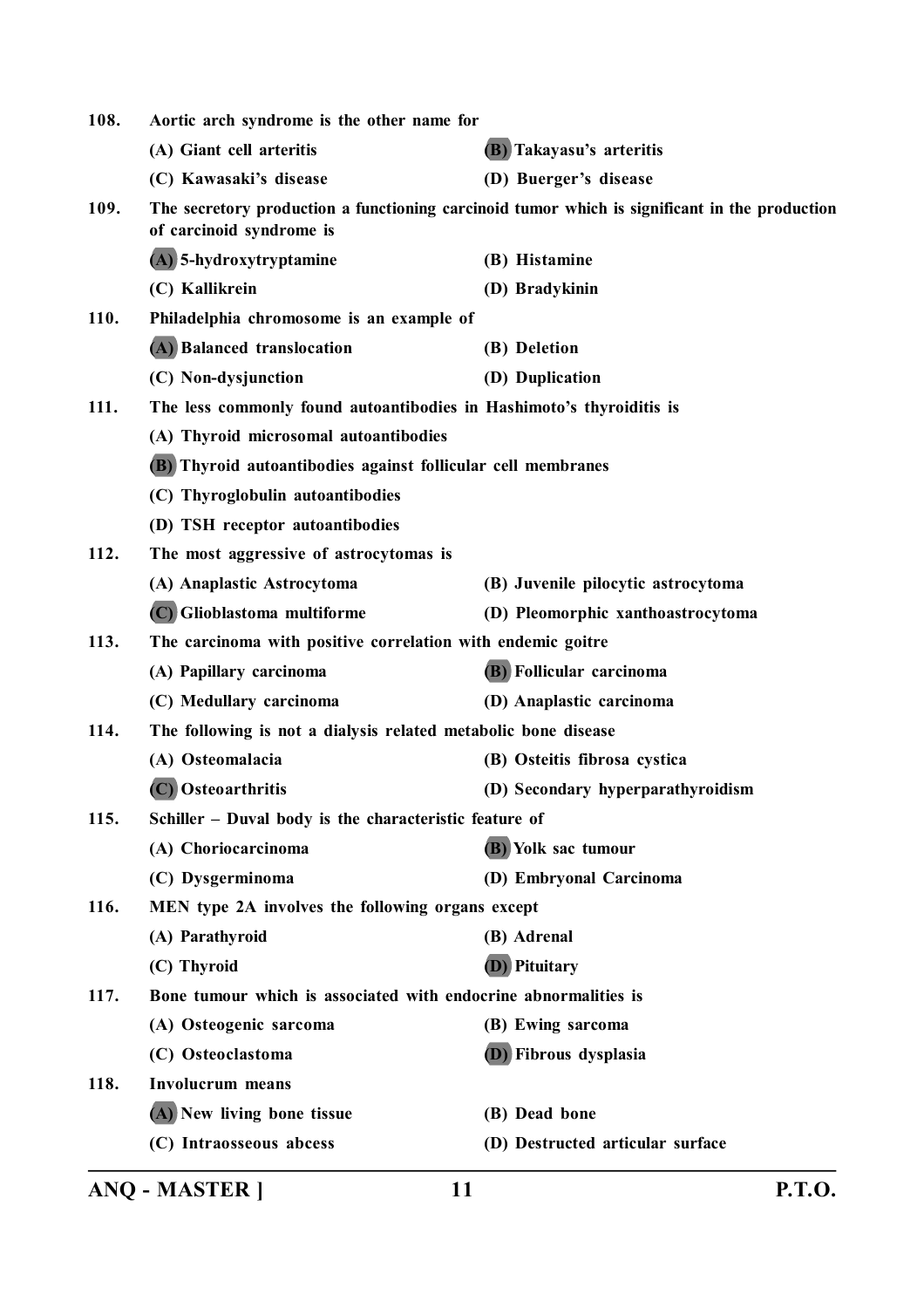| 108. | Aortic arch syndrome is the other name for                           |                                                                                               |
|------|----------------------------------------------------------------------|-----------------------------------------------------------------------------------------------|
|      | (A) Giant cell arteritis                                             | (B) Takayasu's arteritis                                                                      |
|      | (C) Kawasaki's disease                                               | (D) Buerger's disease                                                                         |
| 109. | of carcinoid syndrome is                                             | The secretory production a functioning carcinoid tumor which is significant in the production |
|      | (A) 5-hydroxytryptamine                                              | (B) Histamine                                                                                 |
|      | (C) Kallikrein                                                       | (D) Bradykinin                                                                                |
| 110. | Philadelphia chromosome is an example of                             |                                                                                               |
|      | (A) Balanced translocation                                           | (B) Deletion                                                                                  |
|      | (C) Non-dysjunction                                                  | (D) Duplication                                                                               |
| 111. | The less commonly found autoantibodies in Hashimoto's thyroiditis is |                                                                                               |
|      | (A) Thyroid microsomal autoantibodies                                |                                                                                               |
|      | (B) Thyroid autoantibodies against follicular cell membranes         |                                                                                               |
|      | (C) Thyroglobulin autoantibodies                                     |                                                                                               |
|      | (D) TSH receptor autoantibodies                                      |                                                                                               |
| 112. | The most aggressive of astrocytomas is                               |                                                                                               |
|      | (A) Anaplastic Astrocytoma                                           | (B) Juvenile pilocytic astrocytoma                                                            |
|      | (C) Glioblastoma multiforme                                          | (D) Pleomorphic xanthoastrocytoma                                                             |
| 113. | The carcinoma with positive correlation with endemic goitre          |                                                                                               |
|      | (A) Papillary carcinoma                                              | (B) Follicular carcinoma                                                                      |
|      | (C) Medullary carcinoma                                              | (D) Anaplastic carcinoma                                                                      |
| 114. | The following is not a dialysis related metabolic bone disease       |                                                                                               |
|      | (A) Osteomalacia                                                     | (B) Osteitis fibrosa cystica                                                                  |
|      | (C) Osteoarthritis                                                   | (D) Secondary hyperparathyroidism                                                             |
| 115. | Schiller - Duval body is the characteristic feature of               |                                                                                               |
|      | (A) Choriocarcinoma                                                  | (B) Yolk sac tumour                                                                           |
|      | (C) Dysgerminoma                                                     | (D) Embryonal Carcinoma                                                                       |
| 116. | MEN type 2A involves the following organs except                     |                                                                                               |
|      | (A) Parathyroid                                                      | (B) Adrenal                                                                                   |
|      | (C) Thyroid                                                          | <b>(D)</b> Pituitary                                                                          |
| 117. | Bone tumour which is associated with endocrine abnormalities is      |                                                                                               |
|      | (A) Osteogenic sarcoma                                               | (B) Ewing sarcoma                                                                             |
|      | (C) Osteoclastoma                                                    | (D) Fibrous dysplasia                                                                         |
| 118. | <b>Involucrum</b> means                                              |                                                                                               |
|      | (A) New living bone tissue                                           | (B) Dead bone                                                                                 |
|      | (C) Intraosseous abcess                                              | (D) Destructed articular surface                                                              |
|      |                                                                      |                                                                                               |

**ANQ - MASTER ] 11 P.T.O.**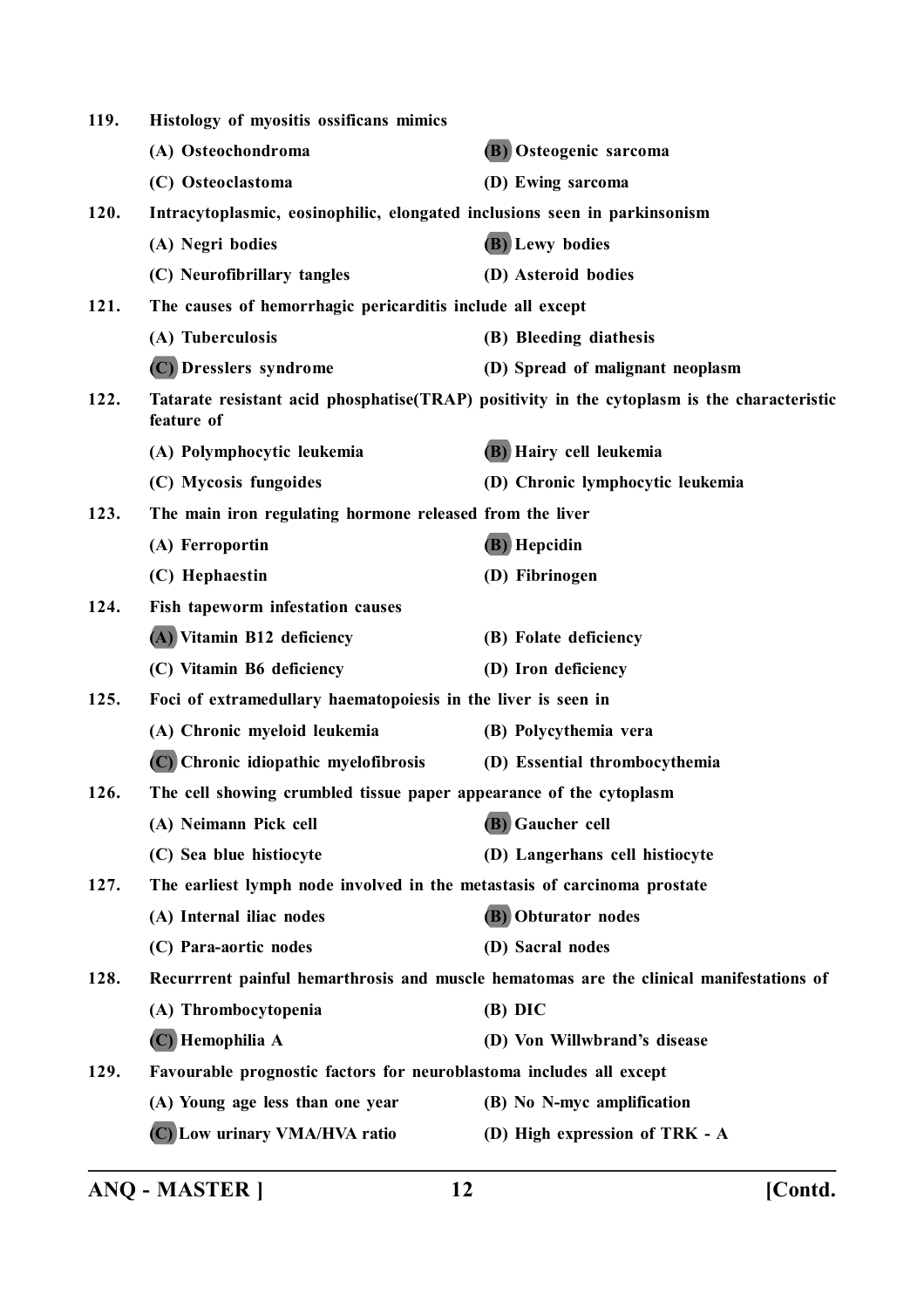| 119. | Histology of myositis ossificans mimics                                   |                                                                                              |
|------|---------------------------------------------------------------------------|----------------------------------------------------------------------------------------------|
|      | (A) Osteochondroma                                                        | (B) Osteogenic sarcoma                                                                       |
|      | (C) Osteoclastoma                                                         | (D) Ewing sarcoma                                                                            |
| 120. | Intracytoplasmic, eosinophilic, elongated inclusions seen in parkinsonism |                                                                                              |
|      | (A) Negri bodies                                                          | (B) Lewy bodies                                                                              |
|      | (C) Neurofibrillary tangles                                               | (D) Asteroid bodies                                                                          |
| 121. | The causes of hemorrhagic pericarditis include all except                 |                                                                                              |
|      | (A) Tuberculosis                                                          | (B) Bleeding diathesis                                                                       |
|      | (C) Dresslers syndrome                                                    | (D) Spread of malignant neoplasm                                                             |
| 122. | feature of                                                                | Tatarate resistant acid phosphatise (TRAP) positivity in the cytoplasm is the characteristic |
|      | (A) Polymphocytic leukemia                                                | (B) Hairy cell leukemia                                                                      |
|      | (C) Mycosis fungoides                                                     | (D) Chronic lymphocytic leukemia                                                             |
| 123. | The main iron regulating hormone released from the liver                  |                                                                                              |
|      | (A) Ferroportin                                                           | (B) Hepcidin                                                                                 |
|      | (C) Hephaestin                                                            | (D) Fibrinogen                                                                               |
| 124. | Fish tapeworm infestation causes                                          |                                                                                              |
|      | (A) Vitamin B12 deficiency                                                | (B) Folate deficiency                                                                        |
|      | (C) Vitamin B6 deficiency                                                 | (D) Iron deficiency                                                                          |
| 125. | Foci of extramedullary haematopoiesis in the liver is seen in             |                                                                                              |
|      | (A) Chronic myeloid leukemia                                              | (B) Polycythemia vera                                                                        |
|      | (C) Chronic idiopathic myelofibrosis                                      | (D) Essential thrombocythemia                                                                |
| 126. | The cell showing crumbled tissue paper appearance of the cytoplasm        |                                                                                              |
|      | (A) Neimann Pick cell                                                     | (B) Gaucher cell                                                                             |
|      | (C) Sea blue histiocyte                                                   | (D) Langerhans cell histiocyte                                                               |
| 127. | The earliest lymph node involved in the metastasis of carcinoma prostate  |                                                                                              |
|      | (A) Internal iliac nodes                                                  | (B) Obturator nodes                                                                          |
|      | (C) Para-aortic nodes                                                     | (D) Sacral nodes                                                                             |
| 128. |                                                                           | Recurrrent painful hemarthrosis and muscle hematomas are the clinical manifestations of      |
|      | (A) Thrombocytopenia                                                      | $(B)$ DIC                                                                                    |
|      | (C) Hemophilia A                                                          | (D) Von Willwbrand's disease                                                                 |
| 129. | Favourable prognostic factors for neuroblastoma includes all except       |                                                                                              |
|      | (A) Young age less than one year                                          | (B) No N-myc amplification                                                                   |
|      | (C) Low urinary VMA/HVA ratio                                             | (D) High expression of TRK - A                                                               |
|      |                                                                           |                                                                                              |

**ANQ - MASTER ] 12 [Contd.**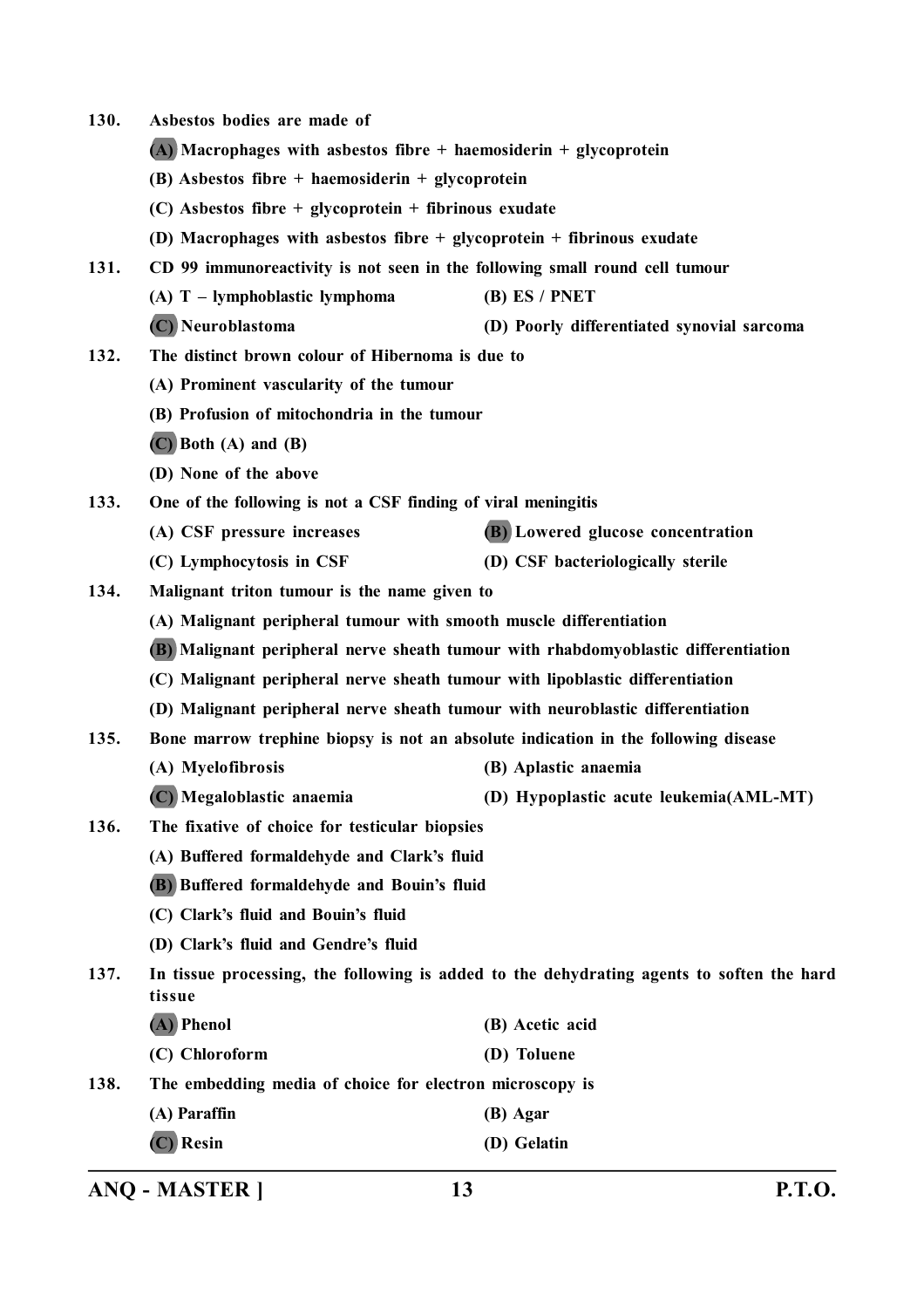- **130. Asbestos bodies are made of**
	- **(A) Macrophages with asbestos fibre + haemosiderin + glycoprotein**
	- **(B) Asbestos fibre + haemosiderin + glycoprotein**
	- **(C) Asbestos fibre + glycoprotein + fibrinous exudate**
	- **(D) Macrophages with asbestos fibre + glycoprotein + fibrinous exudate**
- **131. CD 99 immunoreactivity is not seen in the following small round cell tumour**
	- **(A) T lymphoblastic lymphoma (B) ES / PNET**
	- **(C) Neuroblastoma (D) Poorly differentiated synovial sarcoma**
- **132. The distinct brown colour of Hibernoma is due to**
	- **(A) Prominent vascularity of the tumour**
	- **(B) Profusion of mitochondria in the tumour**
	- **(C) Both (A) and (B)**
	- **(D) None of the above**
- **133. One of the following is not a CSF finding of viral meningitis**
	- **(A) CSF pressure increases (B) Lowered glucose concentration**
	- **(C) Lymphocytosis in CSF (D) CSF bacteriologically sterile**
- **134. Malignant triton tumour is the name given to**
	- **(A) Malignant peripheral tumour with smooth muscle differentiation**
	- **(B) Malignant peripheral nerve sheath tumour with rhabdomyoblastic differentiation**
	- **(C) Malignant peripheral nerve sheath tumour with lipoblastic differentiation**
	- **(D) Malignant peripheral nerve sheath tumour with neuroblastic differentiation**
- **135. Bone marrow trephine biopsy is not an absolute indication in the following disease**
	- **(A) Myelofibrosis (B) Aplastic anaemia**
	- **(C) Megaloblastic anaemia (D) Hypoplastic acute leukemia(AML-MT)**
- **136. The fixative of choice for testicular biopsies**
	- **(A) Buffered formaldehyde and Clark's fluid**
	- **(B) Buffered formaldehyde and Bouin's fluid**
	- **(C) Clark's fluid and Bouin's fluid**
	- **(D) Clark's fluid and Gendre's fluid**
- **137. In tissue processing, the following is added to the dehydrating agents to soften the hard tissue**
	- **(A) Phenol (B) Acetic acid**
	- **(C) Chloroform (D) Toluene**

**138. The embedding media of choice for electron microscopy is**

- **(A) Paraffin (B) Agar**
- **(C) Resin (D) Gelatin**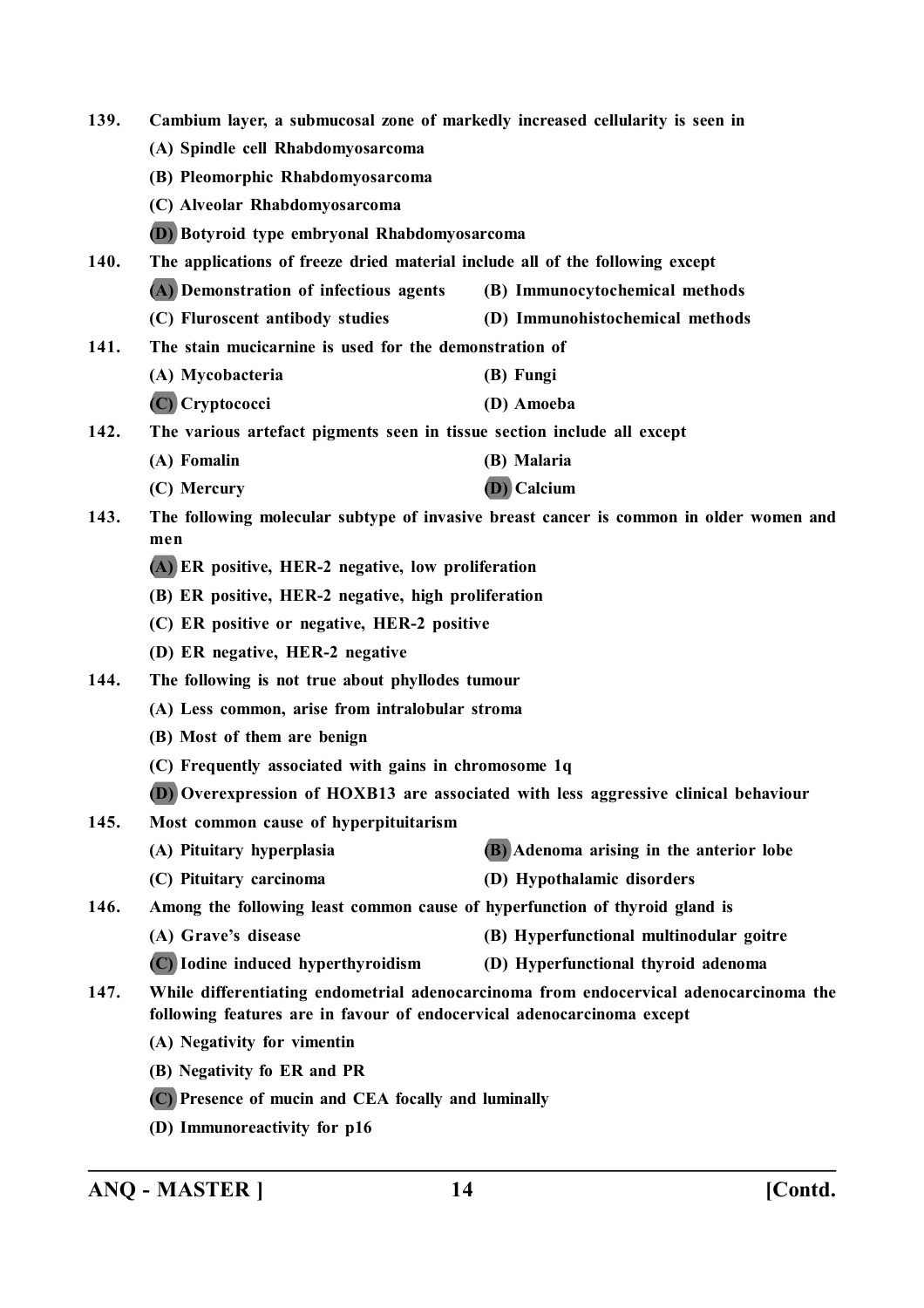| 139.<br>Cambium layer, a submucosal zone of markedly increased cellularity is seen in |                                                                                                                                                                 |                                                                                        |  |
|---------------------------------------------------------------------------------------|-----------------------------------------------------------------------------------------------------------------------------------------------------------------|----------------------------------------------------------------------------------------|--|
|                                                                                       | (A) Spindle cell Rhabdomyosarcoma                                                                                                                               |                                                                                        |  |
|                                                                                       | (B) Pleomorphic Rhabdomyosarcoma                                                                                                                                |                                                                                        |  |
|                                                                                       | (C) Alveolar Rhabdomyosarcoma                                                                                                                                   |                                                                                        |  |
|                                                                                       | (D) Botyroid type embryonal Rhabdomyosarcoma                                                                                                                    |                                                                                        |  |
| 140.                                                                                  | The applications of freeze dried material include all of the following except                                                                                   |                                                                                        |  |
|                                                                                       | (A) Demonstration of infectious agents                                                                                                                          | (B) Immunocytochemical methods                                                         |  |
|                                                                                       | (C) Fluroscent antibody studies                                                                                                                                 | (D) Immunohistochemical methods                                                        |  |
| 141.                                                                                  | The stain mucicarnine is used for the demonstration of                                                                                                          |                                                                                        |  |
|                                                                                       | (A) Mycobacteria                                                                                                                                                | (B) Fungi                                                                              |  |
|                                                                                       | (C) Cryptococci                                                                                                                                                 | (D) Amoeba                                                                             |  |
| 142.                                                                                  | The various artefact pigments seen in tissue section include all except                                                                                         |                                                                                        |  |
|                                                                                       | (A) Fomalin                                                                                                                                                     | (B) Malaria                                                                            |  |
|                                                                                       | (C) Mercury                                                                                                                                                     | (D) Calcium                                                                            |  |
| 143.                                                                                  |                                                                                                                                                                 | The following molecular subtype of invasive breast cancer is common in older women and |  |
|                                                                                       | men                                                                                                                                                             |                                                                                        |  |
|                                                                                       | (A) ER positive, HER-2 negative, low proliferation                                                                                                              |                                                                                        |  |
|                                                                                       | (B) ER positive, HER-2 negative, high proliferation                                                                                                             |                                                                                        |  |
|                                                                                       | (C) ER positive or negative, HER-2 positive                                                                                                                     |                                                                                        |  |
|                                                                                       | (D) ER negative, HER-2 negative                                                                                                                                 |                                                                                        |  |
| 144.                                                                                  | The following is not true about phyllodes tumour                                                                                                                |                                                                                        |  |
|                                                                                       | (A) Less common, arise from intralobular stroma                                                                                                                 |                                                                                        |  |
|                                                                                       | (B) Most of them are benign                                                                                                                                     |                                                                                        |  |
|                                                                                       | (C) Frequently associated with gains in chromosome 1q                                                                                                           |                                                                                        |  |
|                                                                                       |                                                                                                                                                                 | (D) Overexpression of HOXB13 are associated with less aggressive clinical behaviour    |  |
| 145.                                                                                  | Most common cause of hyperpituitarism                                                                                                                           |                                                                                        |  |
|                                                                                       | (A) Pituitary hyperplasia                                                                                                                                       | (B) Adenoma arising in the anterior lobe                                               |  |
|                                                                                       | (C) Pituitary carcinoma                                                                                                                                         | (D) Hypothalamic disorders                                                             |  |
| 146.                                                                                  | Among the following least common cause of hyperfunction of thyroid gland is                                                                                     |                                                                                        |  |
|                                                                                       | (A) Grave's disease                                                                                                                                             | (B) Hyperfunctional multinodular goitre                                                |  |
|                                                                                       | (C) Iodine induced hyperthyroidism                                                                                                                              | (D) Hyperfunctional thyroid adenoma                                                    |  |
| 147.                                                                                  | While differentiating endometrial adenocarcinoma from endocervical adenocarcinoma the<br>following features are in favour of endocervical adenocarcinoma except |                                                                                        |  |
|                                                                                       | (A) Negativity for vimentin                                                                                                                                     |                                                                                        |  |
|                                                                                       | (B) Negativity fo ER and PR                                                                                                                                     |                                                                                        |  |
|                                                                                       | (C) Presence of mucin and CEA focally and luminally                                                                                                             |                                                                                        |  |
|                                                                                       |                                                                                                                                                                 |                                                                                        |  |

**(D) Immunoreactivity for p16**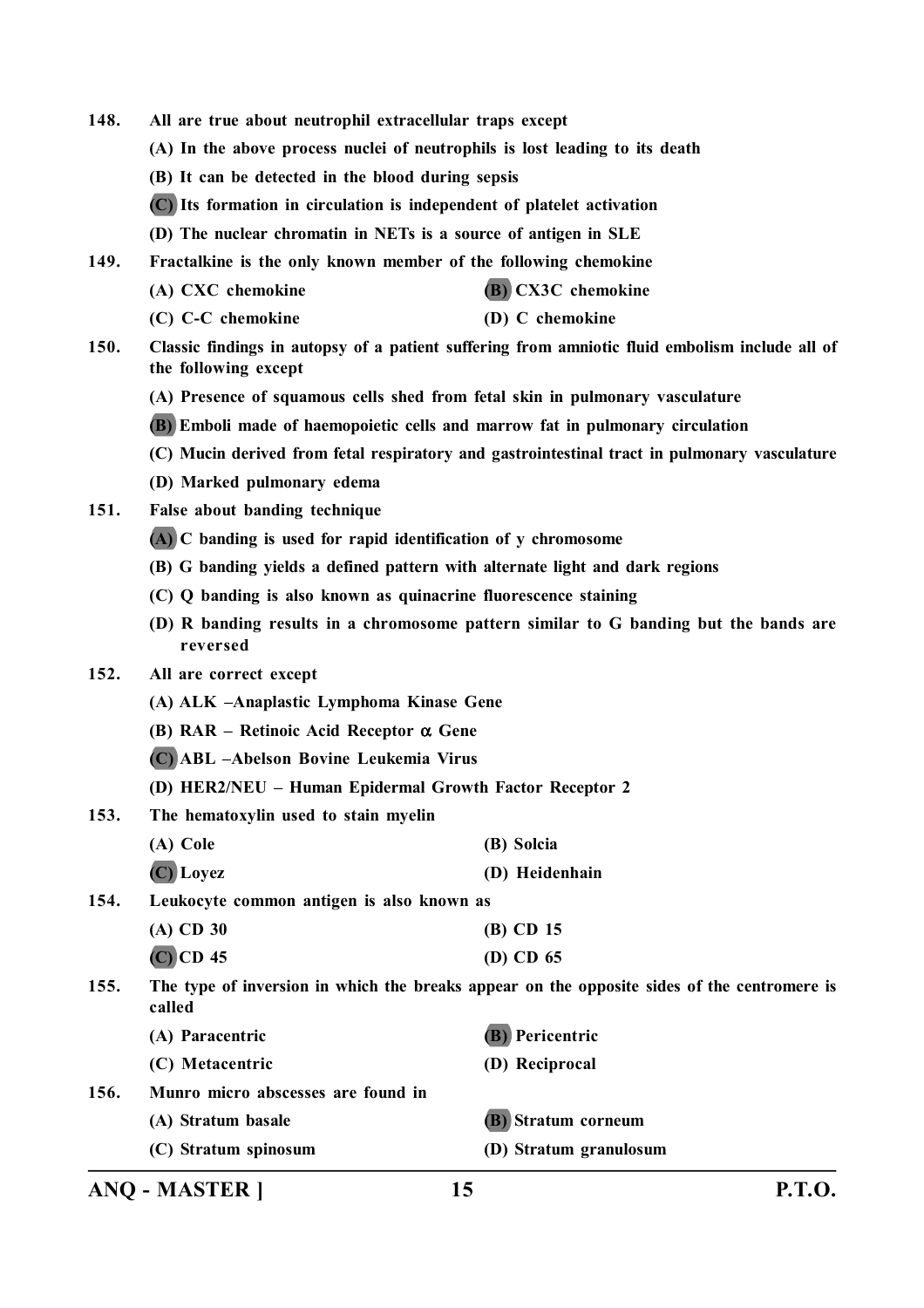- **148. All are true about neutrophil extracellular traps except**
	- **(A) In the above process nuclei of neutrophils is lost leading to its death**
	- **(B) It can be detected in the blood during sepsis**
	- **(C) Its formation in circulation is independent of platelet activation**
	- **(D) The nuclear chromatin in NETs is a source of antigen in SLE**
- **149. Fractalkine is the only known member of the following chemokine**
	- **(A) CXC chemokine (B) CX3C chemokine**
	- **(C) C-C chemokine (D) C chemokine**
- **150. Classic findings in autopsy of a patient suffering from amniotic fluid embolism include all of the following except**
	- **(A) Presence of squamous cells shed from fetal skin in pulmonary vasculature**
	- **(B) Emboli made of haemopoietic cells and marrow fat in pulmonary circulation**
	- **(C) Mucin derived from fetal respiratory and gastrointestinal tract in pulmonary vasculature**
	- **(D) Marked pulmonary edema**
- **151. False about banding technique**
	- **(A) C banding is used for rapid identification of y chromosome**
	- **(B) G banding yields a defined pattern with alternate light and dark regions**
	- **(C) Q banding is also known as quinacrine fluorescence staining**
	- **(D) R banding results in a chromosome pattern similar to G banding but the bands are reversed**

#### **152. All are correct except**

- **(A) ALK –Anaplastic Lymphoma Kinase Gene**
- **(B) RAR Retinoic Acid Receptor Gene**
- **(C) ABL –Abelson Bovine Leukemia Virus**
- **(D) HER2/NEU Human Epidermal Growth Factor Receptor 2**
- **153. The hematoxylin used to stain myelin**
	- **(A) Cole (B) Solcia (C) Loyez (D) Heidenhain**
- **154. Leukocyte common antigen is also known as**

| (A) CD 30   | $(B)$ CD 15 |
|-------------|-------------|
| $(C)$ CD 45 | (D) CD $65$ |

**155. The type of inversion in which the breaks appear on the opposite sides of the centromere is called**

|      | (A) Paracentric                    | (B) Pericentric        |
|------|------------------------------------|------------------------|
|      | (C) Metacentric                    | (D) Reciprocal         |
| 156. | Munro micro abscesses are found in |                        |
|      | (A) Stratum basale                 | (B) Stratum corneum    |
|      | (C) Stratum spinosum               | (D) Stratum granulosum |

**ANQ - MASTER ] 15 P.T.O.**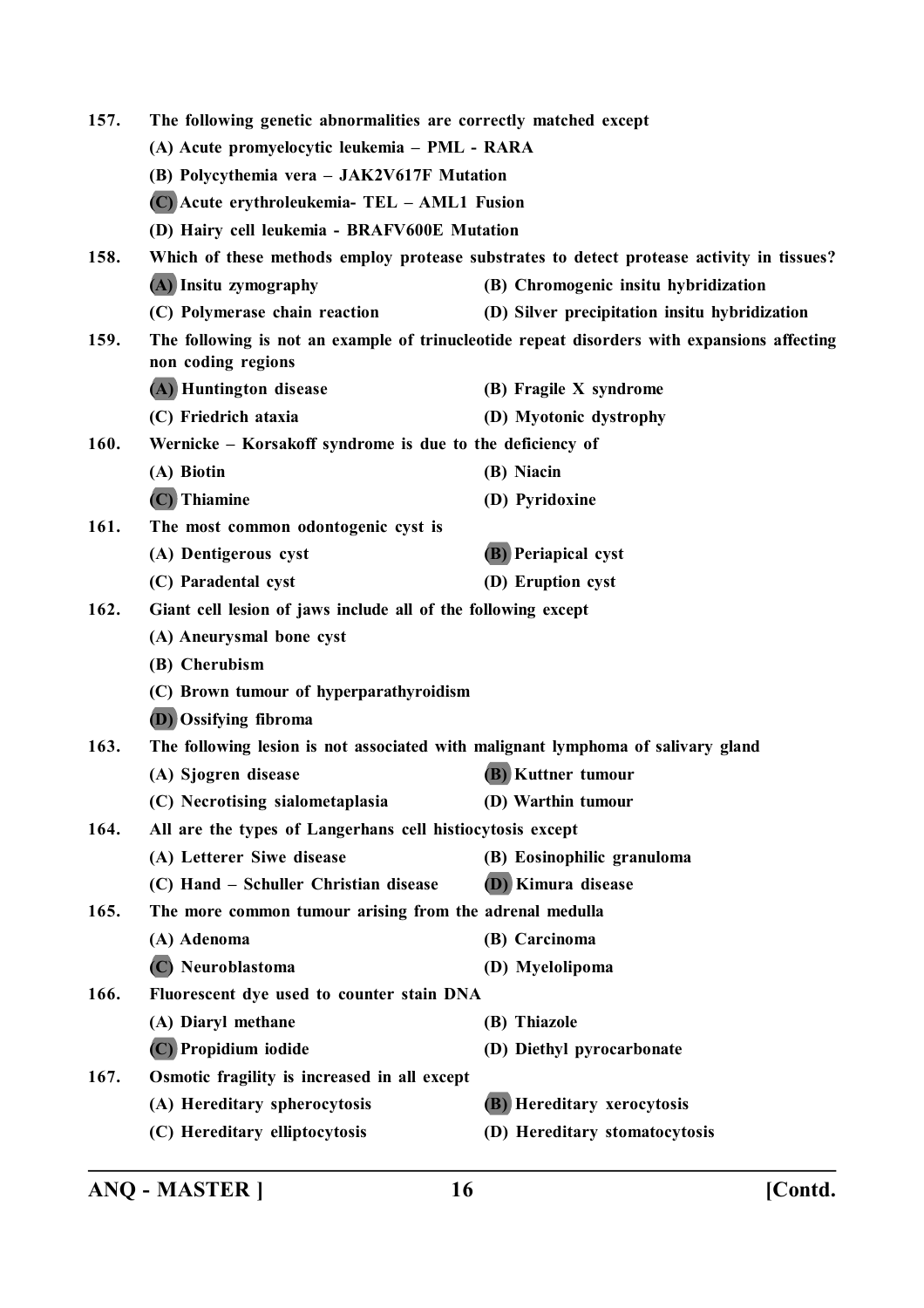| 157.                                                                                                                      | The following genetic abnormalities are correctly matched except                           |                                                                                           |  |
|---------------------------------------------------------------------------------------------------------------------------|--------------------------------------------------------------------------------------------|-------------------------------------------------------------------------------------------|--|
|                                                                                                                           | (A) Acute promyelocytic leukemia – PML - RARA                                              |                                                                                           |  |
|                                                                                                                           | (B) Polycythemia vera - JAK2V617F Mutation<br>(C) Acute erythroleukemia- TEL - AML1 Fusion |                                                                                           |  |
|                                                                                                                           |                                                                                            |                                                                                           |  |
|                                                                                                                           | (D) Hairy cell leukemia - BRAFV600E Mutation                                               |                                                                                           |  |
| 158.                                                                                                                      |                                                                                            | Which of these methods employ protease substrates to detect protease activity in tissues? |  |
|                                                                                                                           | (A) Insitu zymography                                                                      | (B) Chromogenic insitu hybridization                                                      |  |
|                                                                                                                           | (C) Polymerase chain reaction                                                              | (D) Silver precipitation insitu hybridization                                             |  |
| 159.<br>The following is not an example of trinucleotide repeat disorders with expansions affecting<br>non coding regions |                                                                                            |                                                                                           |  |
|                                                                                                                           | (A) Huntington disease                                                                     | (B) Fragile X syndrome                                                                    |  |
|                                                                                                                           | (C) Friedrich ataxia                                                                       | (D) Myotonic dystrophy                                                                    |  |
| 160.                                                                                                                      | Wernicke - Korsakoff syndrome is due to the deficiency of                                  |                                                                                           |  |
|                                                                                                                           | (A) Biotin                                                                                 | (B) Niacin                                                                                |  |
|                                                                                                                           | $(C)$ Thiamine                                                                             | (D) Pyridoxine                                                                            |  |
| 161.                                                                                                                      | The most common odontogenic cyst is                                                        |                                                                                           |  |
|                                                                                                                           | (A) Dentigerous cyst                                                                       | <b>(B)</b> Periapical cyst                                                                |  |
|                                                                                                                           | (C) Paradental cyst                                                                        | (D) Eruption cyst                                                                         |  |
| 162.                                                                                                                      | Giant cell lesion of jaws include all of the following except                              |                                                                                           |  |
|                                                                                                                           | (A) Aneurysmal bone cyst                                                                   |                                                                                           |  |
|                                                                                                                           | (B) Cherubism                                                                              |                                                                                           |  |
|                                                                                                                           | (C) Brown tumour of hyperparathyroidism                                                    |                                                                                           |  |
|                                                                                                                           | <b>(D)</b> Ossifying fibroma                                                               |                                                                                           |  |
| 163.                                                                                                                      | The following lesion is not associated with malignant lymphoma of salivary gland           |                                                                                           |  |
|                                                                                                                           | (A) Sjogren disease                                                                        | (B) Kuttner tumour                                                                        |  |
|                                                                                                                           | (C) Necrotising sialometaplasia                                                            | (D) Warthin tumour                                                                        |  |
| 164.                                                                                                                      | All are the types of Langerhans cell histiocytosis except                                  |                                                                                           |  |
|                                                                                                                           | (A) Letterer Siwe disease                                                                  | (B) Eosinophilic granuloma                                                                |  |
|                                                                                                                           | (C) Hand - Schuller Christian disease                                                      | (D) Kimura disease                                                                        |  |
| 165.                                                                                                                      | The more common tumour arising from the adrenal medulla                                    |                                                                                           |  |
|                                                                                                                           | (A) Adenoma                                                                                | (B) Carcinoma                                                                             |  |
|                                                                                                                           | (C) Neuroblastoma                                                                          | (D) Myelolipoma                                                                           |  |
| 166.                                                                                                                      | Fluorescent dye used to counter stain DNA                                                  |                                                                                           |  |
|                                                                                                                           | (A) Diaryl methane                                                                         | (B) Thiazole                                                                              |  |
|                                                                                                                           | (C) Propidium iodide                                                                       | (D) Diethyl pyrocarbonate                                                                 |  |
| 167.                                                                                                                      | Osmotic fragility is increased in all except                                               |                                                                                           |  |
|                                                                                                                           | (A) Hereditary spherocytosis                                                               | (B) Hereditary xerocytosis                                                                |  |
|                                                                                                                           | (C) Hereditary elliptocytosis                                                              | (D) Hereditary stomatocytosis                                                             |  |
|                                                                                                                           |                                                                                            |                                                                                           |  |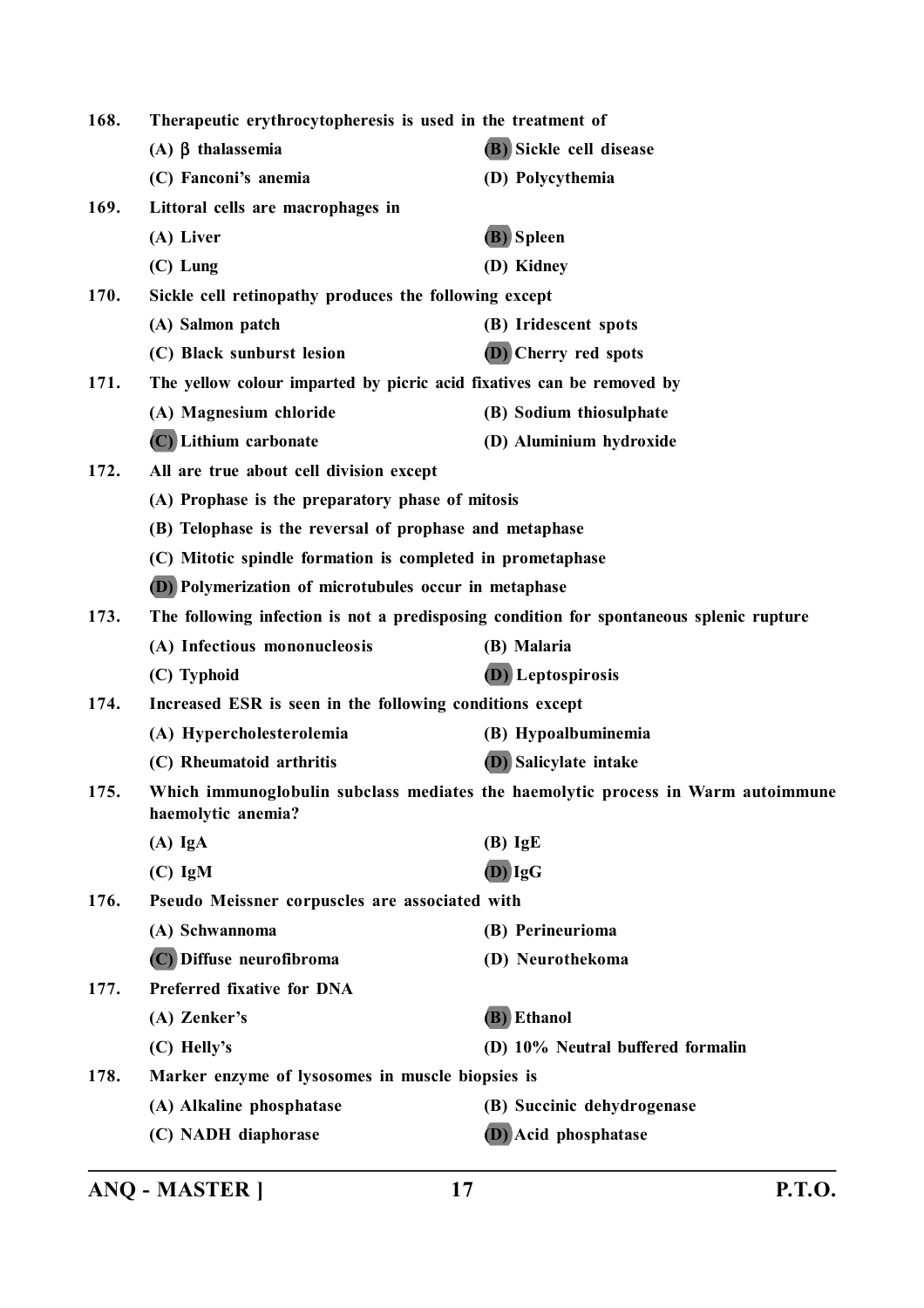| 168.                                                    | Therapeutic erythrocytopheresis is used in the treatment of                                                                |                                                                                         |
|---------------------------------------------------------|----------------------------------------------------------------------------------------------------------------------------|-----------------------------------------------------------------------------------------|
|                                                         | (A) $\beta$ thalassemia                                                                                                    | (B) Sickle cell disease                                                                 |
|                                                         | (C) Fanconi's anemia                                                                                                       | (D) Polycythemia                                                                        |
| 169.                                                    | Littoral cells are macrophages in                                                                                          |                                                                                         |
|                                                         | (A) Liver                                                                                                                  | (B) Spleen                                                                              |
|                                                         | $(C)$ Lung                                                                                                                 | (D) Kidney                                                                              |
| 170.                                                    | Sickle cell retinopathy produces the following except                                                                      |                                                                                         |
|                                                         | (A) Salmon patch                                                                                                           | (B) Iridescent spots                                                                    |
|                                                         | (C) Black sunburst lesion                                                                                                  | (D) Cherry red spots                                                                    |
| 171.                                                    | The yellow colour imparted by picric acid fixatives can be removed by                                                      |                                                                                         |
|                                                         | (A) Magnesium chloride                                                                                                     | (B) Sodium thiosulphate                                                                 |
|                                                         | (C) Lithium carbonate                                                                                                      | (D) Aluminium hydroxide                                                                 |
| 172.                                                    | All are true about cell division except                                                                                    |                                                                                         |
|                                                         | (A) Prophase is the preparatory phase of mitosis                                                                           |                                                                                         |
| (B) Telophase is the reversal of prophase and metaphase |                                                                                                                            |                                                                                         |
|                                                         | (C) Mitotic spindle formation is completed in prometaphase<br><b>(D)</b> Polymerization of microtubules occur in metaphase |                                                                                         |
|                                                         |                                                                                                                            |                                                                                         |
| 173.                                                    |                                                                                                                            | The following infection is not a predisposing condition for spontaneous splenic rupture |
|                                                         | (A) Infectious mononucleosis                                                                                               | (B) Malaria                                                                             |
|                                                         | (C) Typhoid                                                                                                                | (D) Leptospirosis                                                                       |
| 174.                                                    | Increased ESR is seen in the following conditions except                                                                   |                                                                                         |
|                                                         | (A) Hypercholesterolemia                                                                                                   | (B) Hypoalbuminemia                                                                     |
|                                                         | (C) Rheumatoid arthritis                                                                                                   | <b>(D)</b> Salicylate intake                                                            |
| 175.                                                    | Which immunoglobulin subclass mediates the haemolytic process in Warm autoimmune<br>haemolytic anemia?                     |                                                                                         |
|                                                         | $(A)$ IgA                                                                                                                  | $(B)$ IgE                                                                               |
|                                                         | $(C)$ IgM                                                                                                                  | $(D)$ $IgG$                                                                             |
| 176.                                                    | Pseudo Meissner corpuscles are associated with                                                                             |                                                                                         |
|                                                         | (A) Schwannoma                                                                                                             | (B) Perineurioma                                                                        |
|                                                         | (C) Diffuse neurofibroma                                                                                                   | (D) Neurothekoma                                                                        |
| 177.                                                    | Preferred fixative for DNA                                                                                                 |                                                                                         |
|                                                         | (A) Zenker's                                                                                                               | (B) Ethanol                                                                             |
|                                                         | (C) Helly's                                                                                                                | (D) 10% Neutral buffered formalin                                                       |
| 178.                                                    | Marker enzyme of lysosomes in muscle biopsies is                                                                           |                                                                                         |
|                                                         | (A) Alkaline phosphatase                                                                                                   | (B) Succinic dehydrogenase                                                              |
|                                                         | (C) NADH diaphorase                                                                                                        | (D) Acid phosphatase                                                                    |
|                                                         |                                                                                                                            |                                                                                         |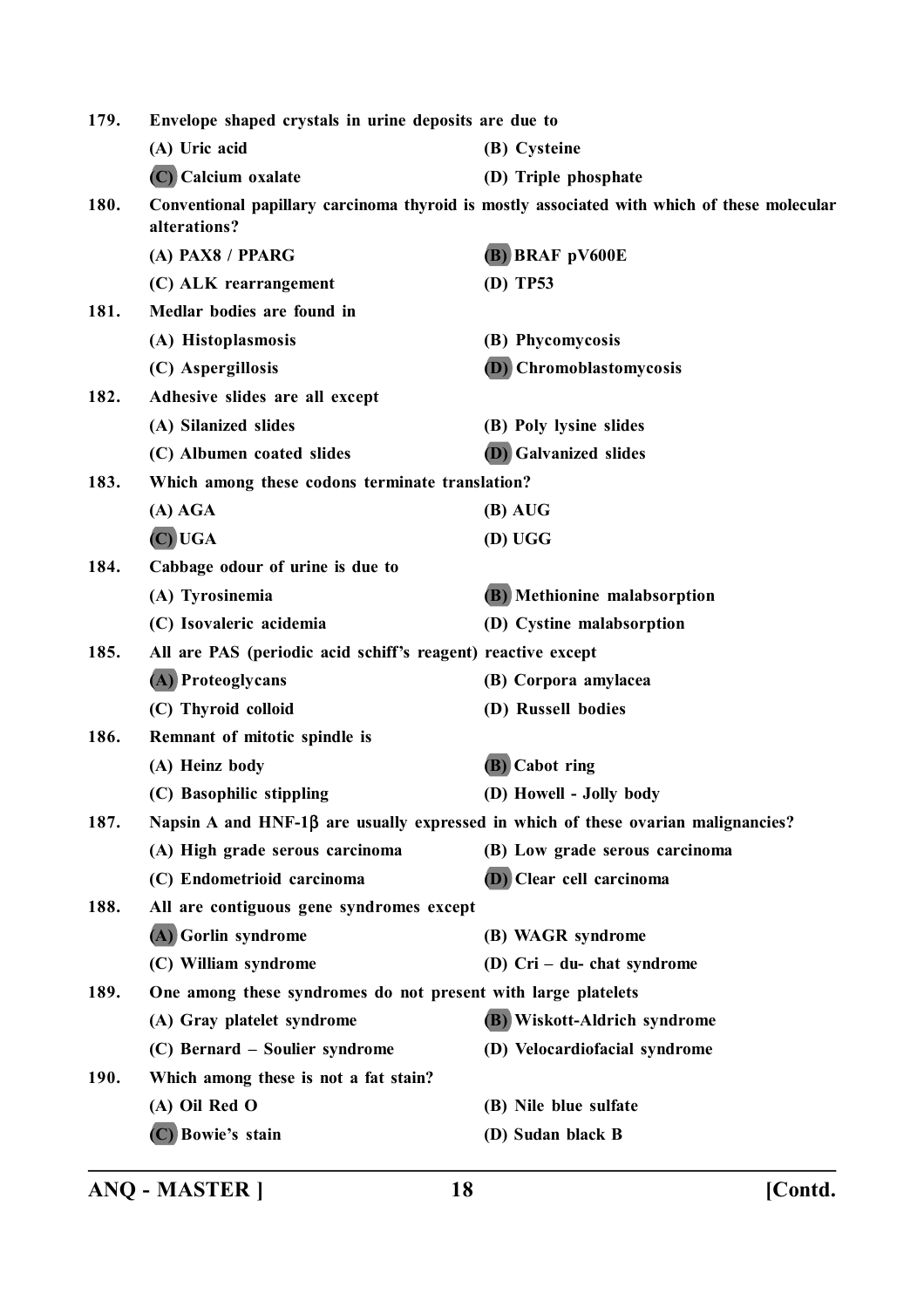| 179. | Envelope shaped crystals in urine deposits are due to                             |                                                                                             |
|------|-----------------------------------------------------------------------------------|---------------------------------------------------------------------------------------------|
|      | (A) Uric acid                                                                     | (B) Cysteine                                                                                |
|      | (C) Calcium oxalate                                                               | (D) Triple phosphate                                                                        |
| 180. | alterations?                                                                      | Conventional papillary carcinoma thyroid is mostly associated with which of these molecular |
|      | (A) PAX8 / PPARG                                                                  | (B) BRAF pV600E                                                                             |
|      | (C) ALK rearrangement                                                             | (D) TP53                                                                                    |
| 181. | Medlar bodies are found in                                                        |                                                                                             |
|      | (A) Histoplasmosis                                                                | (B) Phycomycosis                                                                            |
|      | (C) Aspergillosis                                                                 | (D) Chromoblastomycosis                                                                     |
| 182. | Adhesive slides are all except                                                    |                                                                                             |
|      | (A) Silanized slides                                                              | (B) Poly lysine slides                                                                      |
|      | (C) Albumen coated slides                                                         | <b>(D)</b> Galvanized slides                                                                |
| 183. | Which among these codons terminate translation?                                   |                                                                                             |
|      | (A) AGA                                                                           | $(B)$ AUG                                                                                   |
|      | $(C)$ UGA                                                                         | (D) UGG                                                                                     |
| 184. | Cabbage odour of urine is due to                                                  |                                                                                             |
|      | (A) Tyrosinemia                                                                   | (B) Methionine malabsorption                                                                |
|      | (C) Isovaleric acidemia                                                           | (D) Cystine malabsorption                                                                   |
| 185. | All are PAS (periodic acid schiff's reagent) reactive except                      |                                                                                             |
|      | (A) Proteoglycans                                                                 | (B) Corpora amylacea                                                                        |
|      | (C) Thyroid colloid                                                               | (D) Russell bodies                                                                          |
| 186. | Remnant of mitotic spindle is                                                     |                                                                                             |
|      | (A) Heinz body                                                                    | (B) Cabot ring                                                                              |
|      | (C) Basophilic stippling                                                          | (D) Howell - Jolly body                                                                     |
| 187. | Napsin A and HNF-1β are usually expressed in which of these ovarian malignancies? |                                                                                             |
|      | (A) High grade serous carcinoma                                                   | (B) Low grade serous carcinoma                                                              |
|      | (C) Endometrioid carcinoma                                                        | (D) Clear cell carcinoma                                                                    |
| 188. | All are contiguous gene syndromes except                                          |                                                                                             |
|      | (A) Gorlin syndrome                                                               | (B) WAGR syndrome                                                                           |
|      | (C) William syndrome                                                              | (D) $Cri - du$ - chat syndrome                                                              |
| 189. | One among these syndromes do not present with large platelets                     |                                                                                             |
|      | (A) Gray platelet syndrome                                                        | (B) Wiskott-Aldrich syndrome                                                                |
|      | (C) Bernard – Soulier syndrome                                                    | (D) Velocardiofacial syndrome                                                               |
| 190. | Which among these is not a fat stain?                                             |                                                                                             |
|      | (A) Oil Red O                                                                     | (B) Nile blue sulfate                                                                       |
|      | (C) Bowie's stain                                                                 | (D) Sudan black B                                                                           |
|      |                                                                                   |                                                                                             |